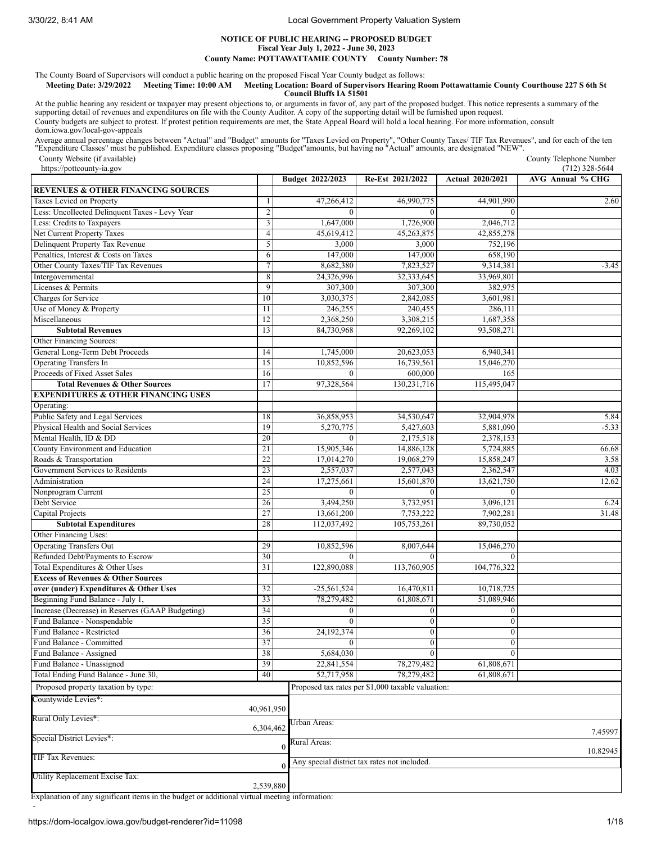## **NOTICE OF PUBLIC HEARING -- PROPOSED BUDGET Fiscal Year July 1, 2022 - June 30, 2023 County Name: POTTAWATTAMIE COUNTY County Number: 78**

The County Board of Supervisors will conduct a public hearing on the proposed Fiscal Year County budget as follows:

### Meeting Date: 3/29/2022 Meeting Time: 10:00 AM Meeting Location: Board of Supervisors Hearing Room Pottawattamie County Courthouse 227 S 6th St **Council Bluffs IA 51501**

At the public hearing any resident or taxpayer may present objections to, or arguments in favor of, any part of the proposed budget. This notice represents a summary of the<br>supporting detail of revenues and expenditures on County budgets are subject to protest. If protest petition requirements are met, the State Appeal Board will hold a local hearing. For more information, consult dom.iowa.gov/local-gov-appeals

Average annual percentage changes between "Actual" and "Budget" amounts for "Taxes Levied on Property", "Other County Taxes/TIF Tax Revenues", and for each of the ten<br>"Expenditure Classes" must be published. Expenditure cl

County Website (if available) https://pottcounty-ia.gov

County Telephone Number  $(712)$  328-5644

|                                                  |                         | Budget 2022/2023 | Re-Est 2021/2022                                  | <b>Actual 2020/2021</b> | AVG Annual % CHG |
|--------------------------------------------------|-------------------------|------------------|---------------------------------------------------|-------------------------|------------------|
| <b>REVENUES &amp; OTHER FINANCING SOURCES</b>    |                         |                  |                                                   |                         |                  |
| Taxes Levied on Property                         | 1                       | 47,266,412       | 46,990,775                                        | 44,901,990              | 2.60             |
| Less: Uncollected Delinquent Taxes - Levy Year   | $\overline{2}$          | $\theta$         | $\Omega$                                          | $\Omega$                |                  |
| Less: Credits to Taxpayers                       | $\overline{\mathbf{3}}$ | 1,647,000        | 1,726,900                                         | 2,046,712               |                  |
| Net Current Property Taxes                       | $\overline{4}$          | 45,619,412       | 45,263,875                                        | 42,855,278              |                  |
| Delinquent Property Tax Revenue                  | 5                       | 3,000            | 3,000                                             | 752,196                 |                  |
| Penalties, Interest & Costs on Taxes             | 6                       | 147,000          | 147,000                                           | 658,190                 |                  |
| Other County Taxes/TIF Tax Revenues              | $\tau$                  | 8,682,380        | 7,823,527                                         | 9,314,381               | $-3.45$          |
| Intergovernmental                                | 8                       | 24,326,996       | 32,333,645                                        | 33,969,801              |                  |
| Licenses & Permits                               | $\overline{9}$          | 307,300          | 307,300                                           | 382,975                 |                  |
| Charges for Service                              | 10                      | 3,030,375        | 2,842,085                                         | 3,601,981               |                  |
| Use of Money & Property                          | $\overline{11}$         | 246,255          | 240,455                                           | 286,111                 |                  |
| Miscellaneous                                    | 12                      | 2,368,250        | 3,308,215                                         | 1,687,358               |                  |
| <b>Subtotal Revenues</b>                         | 13                      | 84,730,968       | 92,269,102                                        | 93,508,271              |                  |
| Other Financing Sources:                         |                         |                  |                                                   |                         |                  |
| General Long-Term Debt Proceeds                  | 14                      | 1,745,000        | 20,623,053                                        | 6,940,341               |                  |
| <b>Operating Transfers In</b>                    | 15                      | 10,852,596       | 16,739,561                                        | 15,046,270              |                  |
| Proceeds of Fixed Asset Sales                    | 16                      | $\theta$         | 600,000                                           | 165                     |                  |
| <b>Total Revenues &amp; Other Sources</b>        | 17                      | 97,328,564       | 130,231,716                                       | 115,495,047             |                  |
| <b>EXPENDITURES &amp; OTHER FINANCING USES</b>   |                         |                  |                                                   |                         |                  |
| Operating:                                       |                         |                  |                                                   |                         |                  |
| Public Safety and Legal Services                 | 18                      | 36,858,953       | 34,530,647                                        | 32,904,978              | 5.84             |
| Physical Health and Social Services              | 19                      | 5,270,775        | 5,427,603                                         | 5,881,090               | $-5.33$          |
| Mental Health, ID & DD                           | 20                      | $\Omega$         | 2,175,518                                         | 2,378,153               |                  |
| County Environment and Education                 | 21                      | 15,905,346       | 14,886,128                                        | 5,724,885               | 66.68            |
| Roads & Transportation                           | 22                      | 17,014,270       | 19,068,279                                        | 15,858,247              | 3.58             |
| Government Services to Residents                 | 23                      | 2,557,037        | 2,577,043                                         | 2,362,547               | 4.03             |
| Administration                                   | 24                      | 17,275,661       | 15,601,870                                        | 13,621,750              | 12.62            |
| Nonprogram Current                               | 25                      | $\Omega$         | $\Omega$                                          | $\Omega$                |                  |
| Debt Service                                     | 26                      | 3,494,250        | 3,732,951                                         | 3,096,121               | 6.24             |
| Capital Projects                                 | 27                      | 13,661,200       | 7,753,222                                         | 7,902,281               | 31.48            |
| <b>Subtotal Expenditures</b>                     | 28                      | 112,037,492      | 105,753,261                                       | 89,730,052              |                  |
| Other Financing Uses:                            |                         |                  |                                                   |                         |                  |
| <b>Operating Transfers Out</b>                   | 29                      | 10,852,596       | 8,007,644                                         | 15,046,270              |                  |
| Refunded Debt/Payments to Escrow                 | 30                      | $\Omega$         | $\Omega$                                          | $\Omega$                |                  |
| Total Expenditures & Other Uses                  | 31                      | 122,890,088      | 113,760,905                                       | 104,776,322             |                  |
| <b>Excess of Revenues &amp; Other Sources</b>    |                         |                  |                                                   |                         |                  |
| over (under) Expenditures & Other Uses           | 32                      | $-25,561,524$    | 16,470,811                                        | 10,718,725              |                  |
| Beginning Fund Balance - July 1,                 | 33                      | 78,279,482       | 61,808,671                                        | 51,089,946              |                  |
| Increase (Decrease) in Reserves (GAAP Budgeting) | 34                      | $\boldsymbol{0}$ | $\boldsymbol{0}$                                  | $\boldsymbol{0}$        |                  |
| Fund Balance - Nonspendable                      | 35                      | $\mathbf{0}$     | $\mathbf{0}$                                      | $\mathbf{0}$            |                  |
| Fund Balance - Restricted                        | 36                      | 24,192,374       | $\boldsymbol{0}$                                  | $\mathbf{0}$            |                  |
| Fund Balance - Committed                         | 37                      | $\mathbf{0}$     | $\boldsymbol{0}$                                  | $\boldsymbol{0}$        |                  |
| Fund Balance - Assigned                          | 38                      | 5,684,030        |                                                   |                         |                  |
| Fund Balance - Unassigned                        | 39                      | 22,841,554       | v<br>78,279,482                                   | 61,808,671              |                  |
| Total Ending Fund Balance - June 30,             | 40                      | 52,717,958       | 78,279,482                                        | 61,808,671              |                  |
|                                                  |                         |                  |                                                   |                         |                  |
| Proposed property taxation by type:              |                         |                  | Proposed tax rates per \$1,000 taxable valuation: |                         |                  |
| Countywide Levies*:                              | 40,961,950              |                  |                                                   |                         |                  |
| Rural Only Levies*:                              |                         |                  |                                                   |                         |                  |
|                                                  | 6,304,462               | Urban Areas:     |                                                   |                         |                  |
| Special District Levies*:                        |                         | Rural Areas:     |                                                   |                         | 7.45997          |
|                                                  |                         | $\theta$         |                                                   |                         | 10.82945         |
| TIF Tax Revenues:                                |                         |                  | Any special district tax rates not included.      |                         |                  |
| Utility Replacement Excise Tax:                  |                         |                  |                                                   |                         |                  |
|                                                  | 2,539,880               |                  |                                                   |                         |                  |

Explanation of any significant items in the budget or additional virtual meeting information:

-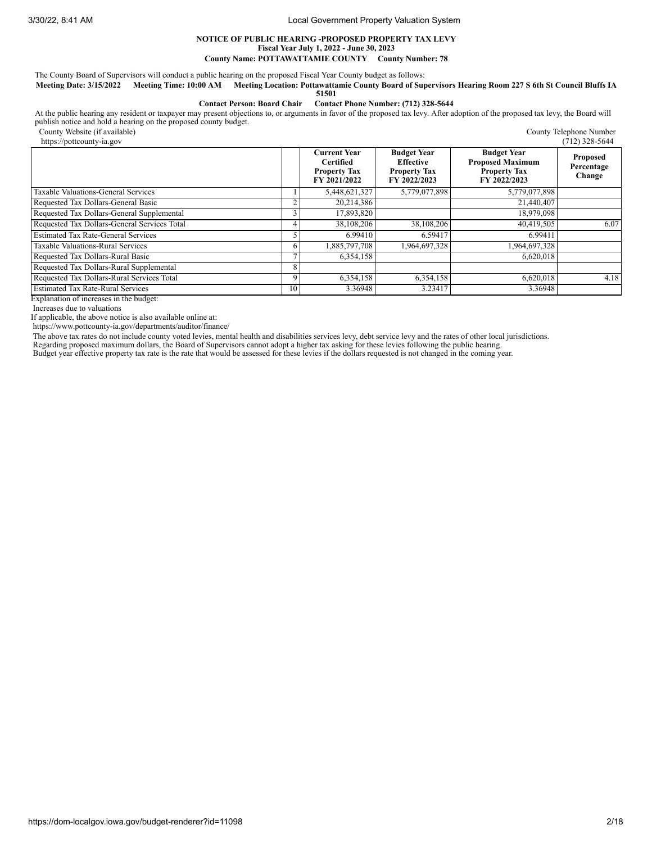### **NOTICE OF PUBLIC HEARING -PROPOSED PROPERTY TAX LEVY Fiscal Year July 1, 2022 - June 30, 2023**

**County Name: POTTAWATTAMIE COUNTY County Number: 78**

The County Board of Supervisors will conduct a public hearing on the proposed Fiscal Year County budget as follows:

Meeting Date: 3/15/2022 Meeting Time: 10:00 AM Meeting Location: Pottawattamie County Board of Supervisors Hearing Room 227 S 6th St Council Bluffs IA **51501**

**Contact Person: Board Chair Contact Phone Number: (712) 328-5644**

At the public hearing any resident or taxpayer may present objections to, or arguments in favor of the proposed tax levy. After adoption of the proposed tax levy, the Board will<br>publish notice and hold a hearing on the pro

County Website (if available)

| https://pottcounty-ia.gov                    |    |                                                                                |                                                                               |                                                                                      | $(712)$ 328-5644                        |
|----------------------------------------------|----|--------------------------------------------------------------------------------|-------------------------------------------------------------------------------|--------------------------------------------------------------------------------------|-----------------------------------------|
|                                              |    | <b>Current Year</b><br><b>Certified</b><br><b>Property Tax</b><br>FY 2021/2022 | <b>Budget Year</b><br><b>Effective</b><br><b>Property Tax</b><br>FY 2022/2023 | <b>Budget Year</b><br><b>Proposed Maximum</b><br><b>Property Tax</b><br>FY 2022/2023 | <b>Proposed</b><br>Percentage<br>Change |
| Taxable Valuations-General Services          |    | 5,448,621,327                                                                  | 5,779,077,898                                                                 | 5,779,077,898                                                                        |                                         |
| Requested Tax Dollars-General Basic          |    | 20,214,386                                                                     |                                                                               | 21,440,407                                                                           |                                         |
| Requested Tax Dollars-General Supplemental   |    | 17,893,820                                                                     |                                                                               | 18,979,098                                                                           |                                         |
| Requested Tax Dollars-General Services Total |    | 38,108,206                                                                     | 38,108,206                                                                    | 40,419,505                                                                           | 6.07                                    |
| <b>Estimated Tax Rate-General Services</b>   |    | 6.99410                                                                        | 6.59417                                                                       | 6.99411                                                                              |                                         |
| Taxable Valuations-Rural Services            | 6  | 1,885,797,708                                                                  | 1,964,697,328                                                                 | 1,964,697,328                                                                        |                                         |
| Requested Tax Dollars-Rural Basic            |    | 6,354,158                                                                      |                                                                               | 6,620,018                                                                            |                                         |
| Requested Tax Dollars-Rural Supplemental     | 8  |                                                                                |                                                                               |                                                                                      |                                         |
| Requested Tax Dollars-Rural Services Total   | 9  | 6,354,158                                                                      | 6,354,158                                                                     | 6,620,018                                                                            | 4.18                                    |
| <b>Estimated Tax Rate-Rural Services</b>     | 10 | 3.36948                                                                        | 3.23417                                                                       | 3.36948                                                                              |                                         |

Explanation of increases in the budget:

Increases due to valuations

If applicable, the above notice is also available online at:

https://www.pottcounty-ia.gov/departments/auditor/finance/

The above tax rates do not include county voted levies, mental health and disabilities services levy, debt service levy and the rates of other local jurisdictions.

Regarding proposed maximum dollars, the Board of Supervisors cannot adopt a higher tax asking for these levies following the public hearing.<br>Budget year effective property tax rate is the rate that would be assessed for th

County Telephone Number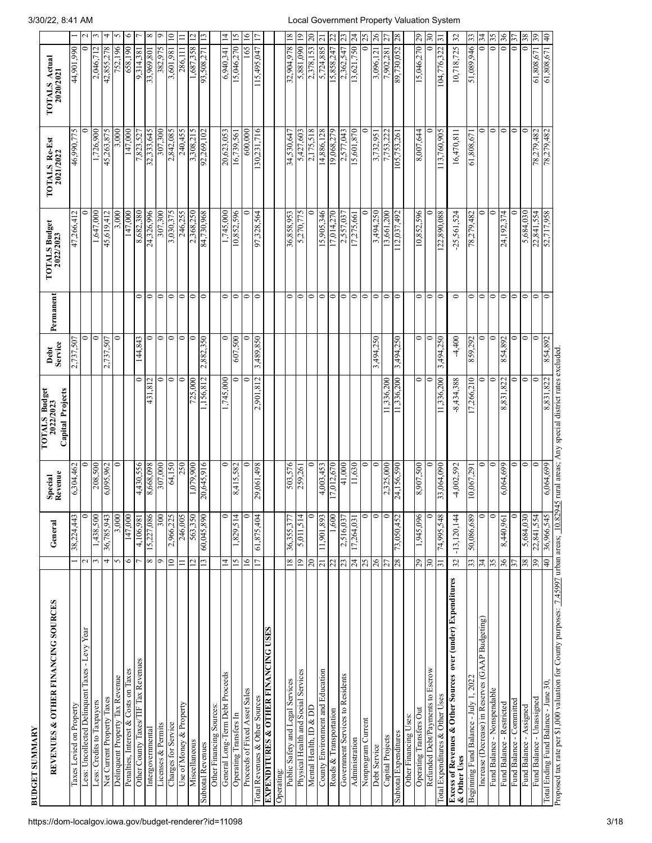| <b>BUDGET SUMMARY</b>                                                                                                                              |                 |               |                    |                                                |                  |           |                            |                                   |                                       |              |
|----------------------------------------------------------------------------------------------------------------------------------------------------|-----------------|---------------|--------------------|------------------------------------------------|------------------|-----------|----------------------------|-----------------------------------|---------------------------------------|--------------|
| REVENUES & OTHER FINANCING SOURCES                                                                                                                 |                 | General       | Special<br>Revenue | TOTALS Budget<br>2022/2023<br>Capital Projects | Debt<br>Service  | Permanent | TOTALS Budget<br>2022/2023 | <b>TOTALS Re-Est</b><br>2021/2022 | <b>TOTALS Actual</b><br>2020/2021     |              |
| Taxes Levied on Property                                                                                                                           |                 | 38,224,443    | 6,304,462          |                                                | 2,737,507        |           | 47,266,412                 | 46,990,775                        | 44,901,990                            |              |
| Less: Uncollected Delinquent Taxes - Levy Year                                                                                                     | $\sim$          | 0             |                    |                                                | 0                |           |                            |                                   | 0                                     |              |
| Less: Credits to Taxpayers                                                                                                                         | 3               | 1,438,500     | 208,500            |                                                | 0                |           | .647,000                   | 1,726,900                         | 2,046,712                             |              |
| Net Current Property Taxes                                                                                                                         | 4               | 36,785,943    | 6,095,962          |                                                | 2,737,507        |           | 45,619,412                 | 45,263,875                        | 42,855,278                            |              |
| Delinquent Property Tax Revenue                                                                                                                    | 5               | 3,000         | 0                  |                                                | $\mathbf{\circ}$ |           | 3,000                      | 3,000                             | 752,196                               |              |
| Penalties, Interest & Costs on Taxes                                                                                                               | $\circ$         | 147,000       |                    |                                                |                  |           | 147,000                    | 147,000                           | 658,190                               | ٥            |
| Other County Taxes/TIF Tax Revenues                                                                                                                |                 | 4,106,981     | 4,430,556          | ∍                                              | 144,843          | 0         | 8,682,380                  | 7,823,527                         | 9,314,381                             |              |
| Intergovernmental                                                                                                                                  | $\infty$        | 15,227,086    | 8,668,098          | 431,812                                        | 5                | $\circ$   | 24,326,996                 | 32,333,645                        | 33,969,801                            | ×            |
| Licenses & Permits                                                                                                                                 | Ó               | 300           | 307,000            | 0                                              | $\circ$          | $\circ$   | 307,300                    | 307,300                           | 382,975                               |              |
| Charges for Service                                                                                                                                | $\approx$       | 2,966,225     | 64,150             | 0                                              | $\circ$          | $\circ$   | 3,030,375                  | 2,842,085                         | 3,601,981                             | $\mathsf{D}$ |
| Use of Money & Property                                                                                                                            | Ξ               | 246,005       | 250                | 0                                              | $\circ$          | 0         | 246,255                    | 240,455                           | 286,111                               |              |
| Miscellaneous                                                                                                                                      | $\overline{c}$  | 563,350       | 1,079,900          | 725,000                                        | $\circ$          | $\circ$   | 2,368,250                  | 3,308,215                         | 1,687,358                             |              |
| <b>Subtotal Revenues</b>                                                                                                                           | 13              | 60,045,00     | 20,645,916         | 1,156,812                                      | 2,882,350        | $\circ$   | 84,730,968                 | 92,269,102                        | 93,508,271                            |              |
| Other Financing Sources:                                                                                                                           |                 |               |                    |                                                |                  |           |                            |                                   |                                       |              |
| General Long-Term Debt Proceeds                                                                                                                    | $\bar{4}$       | $\circ$       | 0                  | 1,745,000                                      | 0                | 0         | 1,745,000                  | 20,623,053                        | 4<br>6,940,341                        |              |
| Operating Transfers In                                                                                                                             | 15              | 1,829,514     | 8,415,582          | 0                                              | 607,500          | $\circ$   | 10,852,596                 | 16,739,561                        | $\frac{5}{2}$<br>15,046,270           |              |
| Proceeds of Fixed Asset Sales                                                                                                                      | $\overline{16}$ | $\circ$       | 0                  | 0                                              | 0                | $\circ$   | 0                          | 600,000                           | $\overline{16}$<br>165                |              |
| Total Revenues & Other Sources                                                                                                                     | $\overline{17}$ | 61,875,404    | 29,061,498         | 2,901,812                                      | 3,489,850        | $\circ$   | 97,328,564                 | 130,231,716                       | F<br>115,495,047                      |              |
| <b>EXPENDITURES &amp; OTHER FINANCING USES</b>                                                                                                     |                 |               |                    |                                                |                  |           |                            |                                   |                                       |              |
| Operating:                                                                                                                                         |                 |               |                    |                                                |                  |           |                            |                                   |                                       |              |
| Public Safety and Legal Services                                                                                                                   | 18              | 36,355,377    | 503,576            |                                                |                  | 0         | 36,858,953                 | 34,530,647                        | $\overline{\mathbf{8}}$<br>32,904,978 |              |
| Physical Health and Social Services                                                                                                                | $\overline{6}$  | 5,011,514     | 259,261            |                                                |                  | 0         | 5,270,775                  | 5,427,603                         | $\overline{6}$<br>5,881,090           |              |
| Mental Health, ID & DD                                                                                                                             | $\approx$       | ≎             | 0                  |                                                |                  | $\circ$   |                            | 2,175,518                         | $\approx$<br>2,378,153                |              |
| County Environment and Education                                                                                                                   | $\overline{z}$  | 11,901,893    | 4,003,453          |                                                |                  | $\circ$   | 15,905,346                 | 14,886,128                        | $\overline{\mathcal{C}}$<br>5,724,885 |              |
| Roads & Transportation                                                                                                                             | 22              | 1,600         | 17,012,670         |                                                |                  | 0         | 17,014,270                 | 19,068,279                        | 15,858,247                            |              |
| Government Services to Residents                                                                                                                   | 23              | 2,516,037     | 41,000             |                                                |                  | $\circ$   | 2,557,037                  | 2,577,043                         | 2)<br>2,362,547                       |              |
| Administration                                                                                                                                     | $\overline{24}$ | 17,264,031    | 11,630             |                                                |                  | $\circ$   | 17,275,661                 | 15,601,870                        | $\overline{c}$<br>13,621,750          |              |
| Nonprogram Current                                                                                                                                 | 25              | $\circ$       | 0                  |                                                |                  | $\circ$   |                            | 0                                 | Z<br>$\overline{\phantom{0}}$         |              |
| Debt Service                                                                                                                                       | 26              | $\circ$       | 0                  |                                                | 3,494,250        | $\circ$   | 3,494,250                  | 3,732,951                         | 26<br>3,096,121                       |              |
| Capital Projects                                                                                                                                   | 27              | $\circ$       | 2,325,000          | 11,336,200                                     |                  | $\circ$   | 13,661,200                 | 7,753,222                         | 5<br>7,902,281                        |              |
| Subtotal Expenditures                                                                                                                              | 87              | 73,050,452    | 24,156,590         | 11,336,200                                     | 3,494,250        | $\circ$   | 112,037,492                | 105,753,261                       | $\frac{8}{3}$<br>89,730,052           |              |
| Other Financing Uses:                                                                                                                              |                 |               |                    |                                                |                  |           |                            |                                   |                                       |              |
| Operating Transfers Out                                                                                                                            | 67              | 1,945,096     | 8,907,500          | $\circ$                                        | $\circ$          | $\bullet$ | 10,852,596                 | 8,007,644                         | $\sqrt{29}$<br>15,046,270             |              |
| Refunded Debt/Payments to Escrow                                                                                                                   | 30              | 0             | 0                  | 0                                              | $\circ$          | $\circ$   |                            |                                   | నె                                    |              |
| Total Expenditures & Other Uses                                                                                                                    | $\overline{31}$ | 74,995,548    | 33,064,090         | 11,336,200                                     | 3,494,250        | $\circ$   | 122,890,088                | 113,760,905                       | $\overline{5}$<br>104,776,322         |              |
| Excess of Revenues & Other Sources over (under) Expenditures<br>& Other Uses                                                                       | 32              | $-13,120,144$ | $-4,002,592$       | 8,434,388                                      | $-4,400$         | $\circ$   | 25,561,524                 | 16,470,811                        | $\mathfrak{Z}$<br>10,718,725          |              |
| Beginning Fund Balance - July 1, 2022                                                                                                              | 33 <sub>1</sub> | 689'980'09    | 10,067,291         | 17,266,210                                     | 859,292          | 0         | 78,279,482                 | 149,808,19                        | 33<br>51,089,946                      |              |
| Increase (Decrease) in Reserves (GAAP Budgeting)                                                                                                   | 34              | $\circ$       | 0                  | 0                                              | $\circ$          | 0         | 0                          | 0                                 | 34<br>$\overline{\circ}$              |              |
| Fund Balance - Nonspendable                                                                                                                        | 55              | $\circ$       | $\circ$            | 0                                              | $\circ$          | $\circ$   | $\circ$                    | $\bullet$                         | 35<br>$\overline{\bullet}$            |              |
| Fund Balance - Restricted                                                                                                                          | 36              | 196'0 br      | 6,064,699          | 8,831,822                                      | 854,892          | $\circ$   | 24,192,374                 | $\bullet$                         | 36<br>$\overline{\bullet}$            |              |
| Fund Balance - Committed                                                                                                                           | 57              | 0             | 0                  | ∍                                              | 0                | 0         |                            | $\bullet$                         | $\approx$<br>$\overline{\bullet}$     |              |
| Fund Balance - Assigned                                                                                                                            | 38              | 5,684,030     | $\circ$            | $\circ$                                        | $\circ$          | $\circ$   | 5,684,030                  | $\circ$                           | 38<br>$\overline{\circ}$              |              |
| Fund Balance - Unassigned                                                                                                                          | 39              | 22,841,554    | $\circ$            | 0                                              | $\circ$          | $\circ$   | 22,841,554                 | 78,279,482                        | 65<br>61,808,671                      |              |
| Total Ending Fund Balance - June 30,                                                                                                               | $40 \mid$       | 36,966,545    | 6,064,699          | 8,831,822                                      | 854,892          | 0         | 52,717,958                 | 78,279,482                        | $61,808,671$ 40                       |              |
| Proposed tax rate per \$1,000 valuation for County purposes: <u>7.45997</u> urban areas; 10.82945 rural areas; Any special district rates excluded |                 |               |                    |                                                |                  |           |                            |                                   |                                       |              |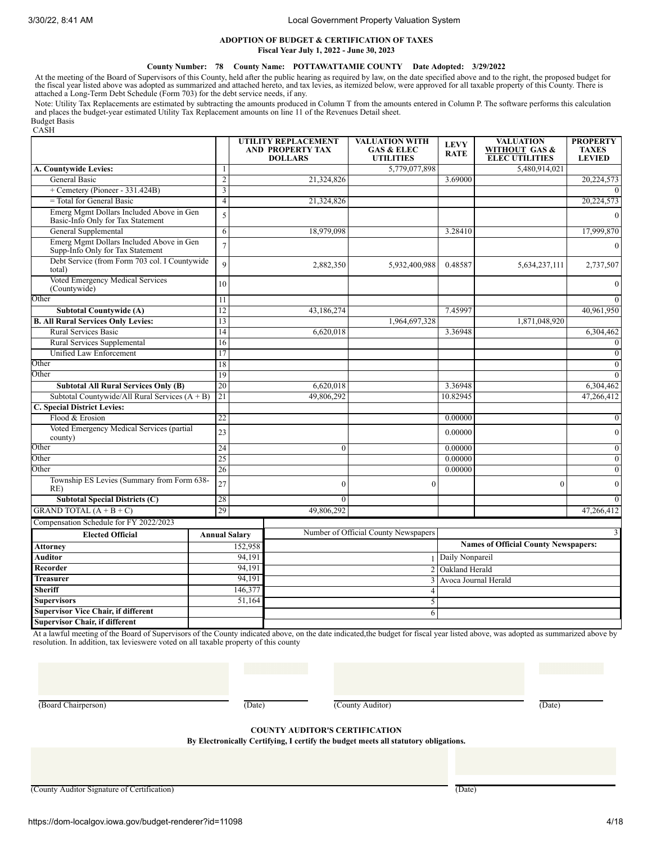# **ADOPTION OF BUDGET & CERTIFICATION OF TAXES Fiscal Year July 1, 2022 - June 30, 2023**

## **County Number: 78 County Name: POTTAWATTAMIE COUNTY Date Adopted: 3/29/2022**

At the meeting of the Board of Supervisors of this County, held after the public hearing as required by law, on the date specified above and to the right, the proposed budget for the fiscal year listed above was adopted as

Note: Utility Tax Replacements are estimated by subtracting the amounts produced in Column T from the amounts entered in Column P. The software performs this calculation and places the budget-year estimated Utility Tax Replacement amounts on line 11 of the Revenues Detail sheet. Budget Basis

CASH

|                                                                               |                      | UTILITY REPLACEMENT<br><b>AND PROPERTY TAX</b><br><b>DOLLARS</b> | <b>VALUATION WITH</b><br><b>GAS &amp; ELEC</b><br><b>UTILITIES</b> | <b>LEVY</b><br><b>RATE</b> | <b>VALUATION</b><br>WITHOUT GAS &<br><b>ELEC UTILITIES</b> | <b>PROPERTY</b><br><b>TAXES</b><br><b>LEVIED</b> |
|-------------------------------------------------------------------------------|----------------------|------------------------------------------------------------------|--------------------------------------------------------------------|----------------------------|------------------------------------------------------------|--------------------------------------------------|
| A. Countywide Levies:                                                         | -1                   |                                                                  | 5,779,077,898                                                      |                            | 5,480,914,021                                              |                                                  |
| <b>General Basic</b>                                                          | $\overline{2}$       | 21,324,826                                                       |                                                                    | 3.69000                    |                                                            | 20,224,573                                       |
| + Cemetery (Pioneer - 331.424B)                                               | $\overline{3}$       |                                                                  |                                                                    |                            |                                                            |                                                  |
| $=$ Total for General Basic                                                   | $\overline{4}$       | 21,324,826                                                       |                                                                    |                            |                                                            | 20,224,573                                       |
| Emerg Mgmt Dollars Included Above in Gen<br>Basic-Info Only for Tax Statement | 5                    |                                                                  |                                                                    |                            |                                                            | $\Omega$                                         |
| General Supplemental                                                          | 6                    | 18,979,098                                                       |                                                                    | 3.28410                    |                                                            | 17,999,870                                       |
| Emerg Mgmt Dollars Included Above in Gen<br>Supp-Info Only for Tax Statement  | $\overline{7}$       |                                                                  |                                                                    |                            |                                                            |                                                  |
| Debt Service (from Form 703 col. I Countywide<br>total)                       | $\mathbf Q$          | 2,882,350                                                        | 5,932,400,988                                                      | 0.48587                    | 5,634,237,111                                              | 2,737,507                                        |
| Voted Emergency Medical Services<br>(Countywide)                              | 10                   |                                                                  |                                                                    |                            |                                                            | $\mathbf{0}$                                     |
| Other                                                                         | 11                   |                                                                  |                                                                    |                            |                                                            |                                                  |
| <b>Subtotal Countywide (A)</b>                                                | 12                   | 43,186,274                                                       |                                                                    | 7.45997                    |                                                            | 40,961,950                                       |
| <b>B. All Rural Services Only Levies:</b>                                     | 13                   |                                                                  | 1,964,697,328                                                      |                            | 1,871,048,920                                              |                                                  |
| <b>Rural Services Basic</b>                                                   | 14                   | 6,620,018                                                        |                                                                    | 3.36948                    |                                                            | 6,304,462                                        |
| Rural Services Supplemental                                                   | 16                   |                                                                  |                                                                    |                            |                                                            | $\mathbf{0}$                                     |
| Unified Law Enforcement                                                       | 17                   |                                                                  |                                                                    |                            |                                                            | $\Omega$                                         |
| Other                                                                         | 18                   |                                                                  |                                                                    |                            |                                                            | $\Omega$                                         |
| Other                                                                         | 19                   |                                                                  |                                                                    |                            |                                                            | $\Omega$                                         |
| <b>Subtotal All Rural Services Only (B)</b>                                   | 20                   | 6,620,018                                                        |                                                                    | 3.36948                    |                                                            | 6,304,462                                        |
| Subtotal Countywide/All Rural Services $(A + B)$                              | 21                   | 49,806,292                                                       |                                                                    | 10.82945                   |                                                            | 47,266,412                                       |
| C. Special District Levies:                                                   |                      |                                                                  |                                                                    |                            |                                                            |                                                  |
| Flood & Erosion                                                               | 22                   |                                                                  |                                                                    | 0.00000                    |                                                            | $\Omega$                                         |
| Voted Emergency Medical Services (partial<br>county)                          | 23                   |                                                                  |                                                                    | 0.00000                    |                                                            | $\theta$                                         |
| Other                                                                         | 24                   | $\mathbf{0}$                                                     |                                                                    | 0.00000                    |                                                            | $\mathbf{0}$                                     |
| Other                                                                         | 25                   |                                                                  |                                                                    | 0.00000                    |                                                            | $\theta$                                         |
| Other                                                                         | 26                   |                                                                  |                                                                    | 0.00000                    |                                                            | $\mathbf{0}$                                     |
| Township ES Levies (Summary from Form 638-<br>RE)                             | 27                   | $\Omega$                                                         | $\theta$                                                           |                            | $\mathbf{0}$                                               | $\Omega$                                         |
| <b>Subtotal Special Districts (C)</b>                                         | 28                   | $\theta$                                                         |                                                                    |                            |                                                            | $\Omega$                                         |
| GRAND TOTAL $(A + B + C)$                                                     | 29                   | 49,806,292                                                       |                                                                    |                            |                                                            | 47,266,412                                       |
| Compensation Schedule for FY 2022/2023                                        |                      |                                                                  |                                                                    |                            |                                                            |                                                  |
| <b>Elected Official</b>                                                       | <b>Annual Salary</b> |                                                                  | Number of Official County Newspapers                               |                            |                                                            |                                                  |
| Attornev                                                                      | 152,958              |                                                                  |                                                                    |                            | <b>Names of Official County Newspapers:</b>                |                                                  |
| Auditor                                                                       | 94.191               |                                                                  |                                                                    | 1 Daily Nonpareil          |                                                            |                                                  |
| Recorder                                                                      | 94,191               |                                                                  |                                                                    | 2 Oakland Herald           |                                                            |                                                  |
| <b>Treasurer</b>                                                              | 94,191               |                                                                  | $\overline{\mathbf{3}}$                                            | Avoca Journal Herald       |                                                            |                                                  |
| <b>Sheriff</b>                                                                | 146,377              |                                                                  | $\overline{4}$                                                     |                            |                                                            |                                                  |
| <b>Supervisors</b>                                                            | 51,164               |                                                                  | 5                                                                  |                            |                                                            |                                                  |
| <b>Supervisor Vice Chair, if different</b>                                    |                      |                                                                  | 6                                                                  |                            |                                                            |                                                  |
| <b>Supervisor Chair, if different</b>                                         |                      |                                                                  |                                                                    |                            |                                                            |                                                  |

At a lawful meeting of the Board of Supervisors of the County indicated above, on the date indicated,the budget for fiscal year listed above, was adopted as summarized above by resolution. In addition, tax levieswere voted on all taxable property of this county

(Board Chairperson) (Date) (County Auditor) (Date)

**COUNTY AUDITOR'S CERTIFICATION**

**By Electronically Certifying, I certify the budget meets all statutory obligations.**

(County Auditor Signature of Certification) (Date)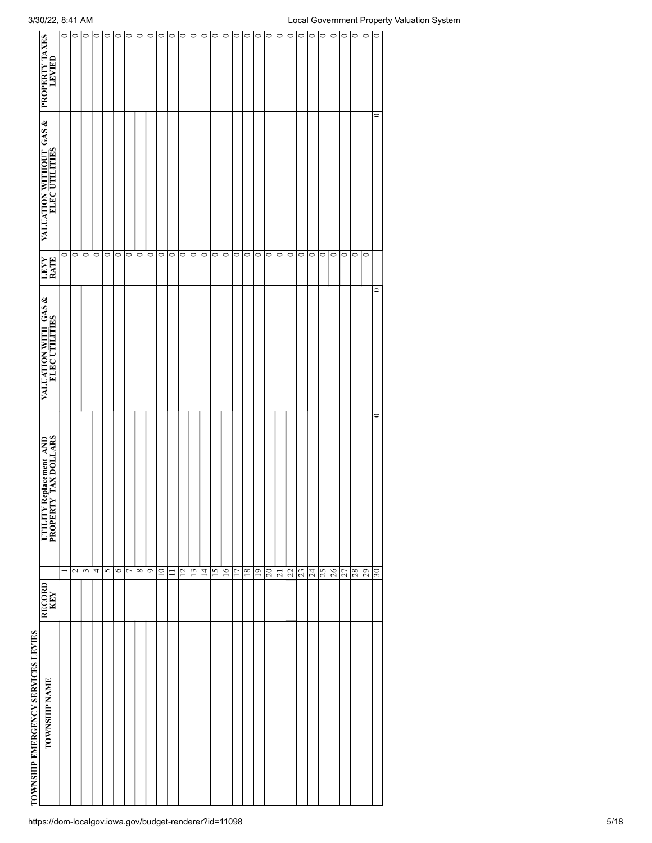| TOWNSHIP NAME | <b>RECORD</b> | UTILITY Replacement AND<br>PROPERTY TAX DOLLARS | VALUATION WITH GAS &<br>ELEC UTILITIES | LEVY<br>RATE | VALUATION WITHOUT GAS & PROPERTY TAXES<br>ELEC UTILITIES |         |
|---------------|---------------|-------------------------------------------------|----------------------------------------|--------------|----------------------------------------------------------|---------|
|               |               | ⊣                                               |                                        | $\circ$      |                                                          | $\circ$ |
|               |               | $\sim$                                          |                                        | $\bullet$    |                                                          | $\circ$ |
|               |               | 3                                               |                                        | $\circ$      |                                                          | $\circ$ |
|               |               | 4                                               |                                        | $\bullet$    |                                                          | $\circ$ |
|               |               | 5                                               |                                        | $\bullet$    |                                                          | $\circ$ |
|               |               | $\circ$                                         |                                        | $\circ$      |                                                          | $\circ$ |
|               |               | $\overline{ }$                                  |                                        | $\bullet$    |                                                          | $\circ$ |
|               |               | $\infty$                                        |                                        | $\bullet$    |                                                          | $\circ$ |
|               |               | o                                               |                                        | $\circ$      |                                                          | $\circ$ |
|               |               | 10 <sub>1</sub>                                 |                                        | $\circ$      |                                                          | $\circ$ |
|               |               | $\equiv$                                        |                                        | $\circ$      |                                                          | $\circ$ |
|               |               | $\overline{c}$                                  |                                        | $\circ$      |                                                          | $\circ$ |
|               |               | $\overline{13}$                                 |                                        | $\circ$      |                                                          | $\circ$ |
|               |               | $\vec{4}$                                       |                                        | $\circ$      |                                                          | $\circ$ |
|               |               | 15                                              |                                        | $\circ$      |                                                          | $\circ$ |
|               |               | 16                                              |                                        | $\circ$      |                                                          | $\circ$ |
|               |               | $\overline{17}$                                 |                                        | $\circ$      |                                                          | $\circ$ |
|               |               | 18                                              |                                        | $\circ$      |                                                          | $\circ$ |
|               |               | 19                                              |                                        | $\circ$      |                                                          | $\circ$ |
|               |               | $\overline{c}$                                  |                                        | $\circ$      |                                                          | $\circ$ |
|               |               | $\overline{z}$                                  |                                        | $\bullet$    |                                                          | $\circ$ |
|               |               | 22                                              |                                        | $\bullet$    |                                                          | $\circ$ |
|               |               | 23                                              |                                        | $\bullet$    |                                                          | $\circ$ |
|               |               | 24                                              |                                        | $\circ$      |                                                          | $\circ$ |
|               |               | 25                                              |                                        | $\circ$      |                                                          | $\circ$ |
|               |               | 26                                              |                                        | $\bullet$    |                                                          | $\circ$ |
|               |               | 27                                              |                                        | $\circ$      |                                                          | $\circ$ |
|               |               | 28                                              |                                        | $\bullet$    |                                                          | $\circ$ |
|               |               | 29                                              |                                        | $\circ$      |                                                          | $\circ$ |
|               |               | $\circ$<br>30                                   | $\circ$                                |              | $\circ$                                                  | $\circ$ |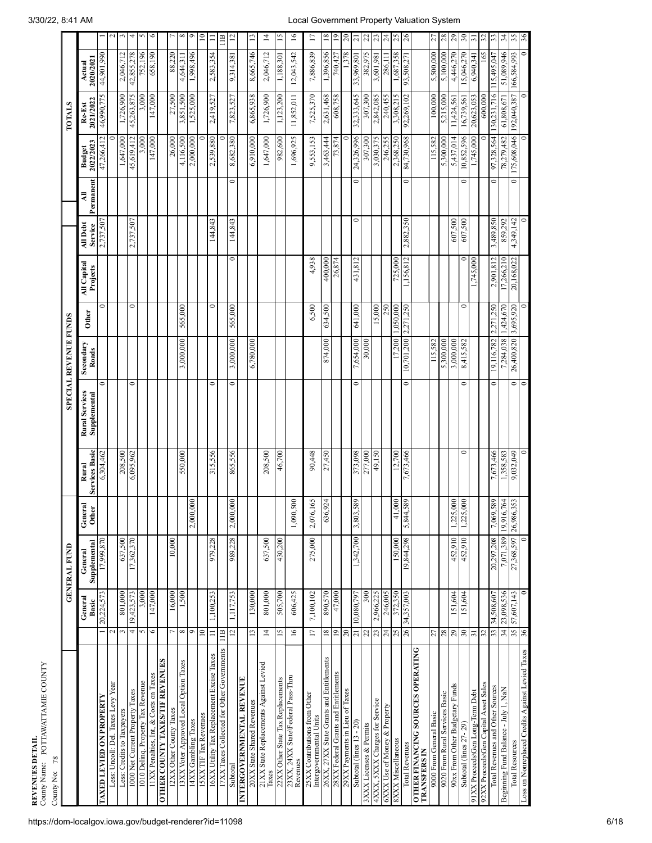| County Name: POTTAWATTAMIE COUNTY<br>78<br>County No:           |                          |                                                                                                                      |                         |                            |                                |                                       |                              |              |                                |                     |                    |                     |                     |                     |                          |
|-----------------------------------------------------------------|--------------------------|----------------------------------------------------------------------------------------------------------------------|-------------------------|----------------------------|--------------------------------|---------------------------------------|------------------------------|--------------|--------------------------------|---------------------|--------------------|---------------------|---------------------|---------------------|--------------------------|
|                                                                 |                          |                                                                                                                      | <b>GENERAL FUND</b>     |                            |                                |                                       | <b>SPECIAL REVENUE FUNDS</b> |              |                                |                     |                    |                     | <b>TOTALS</b>       |                     |                          |
|                                                                 |                          | General<br>Basic                                                                                                     | Supplemental<br>General | General<br>Other           | <b>Services Basic</b><br>Rural | <b>Rural Services</b><br>Supplemental | Secondary<br>Roads           | <b>Other</b> | <b>All Capital</b><br>Projects | All Debt<br>Service | Permanent<br>₹     | 2022/2023<br>Budget | 2021/2022<br>Re-Est | 2020/2021<br>Actual |                          |
| <b>ALNAIONA NO GHIAATI GHYYL</b>                                |                          | 20,224,573                                                                                                           | 028'666'21              |                            | 6,304,462                      | $\circ$                               |                              | 0            |                                | 2,737,507           |                    | 47,266,412          | 46,990,775          | 44,901,990          |                          |
| Less: Uncoll: Del. Taxes Levy Year                              | $\mathbf{\sim}$          |                                                                                                                      |                         |                            |                                |                                       |                              |              |                                |                     |                    |                     |                     |                     | $\sim$                   |
| Less: Credits to Taxpayers                                      | F                        | 801,000                                                                                                              | 637,500                 |                            | 208,500                        |                                       |                              |              |                                |                     |                    | 1,647,000           | 1,726,900           | 2,046,712           | $\mathfrak{m}$           |
| 1000 Net Current Property Taxes                                 | 4                        | 19,423,573                                                                                                           | 17,362,370              |                            | 6,095,962                      | $\circ$                               |                              | $\circ$      |                                | 2,737,507           |                    | 45,619,412          | 45,263,875          | 42,855,278          | 4                        |
| 1010 Delinq. Property Tax Revenue                               | 5                        | 3,000                                                                                                                |                         |                            |                                |                                       |                              |              |                                |                     |                    | 3.000               | 3,000               | 752,196             | S                        |
| 11XX Penalties, Int, & Costs on Taxes                           | $\circ$                  | 147,000                                                                                                              |                         |                            |                                |                                       |                              |              |                                |                     |                    | 147,000             | 147,000             | 658,190             | $\circ$                  |
| OTHER COUNTY TAXES/TIF REVENUES                                 |                          |                                                                                                                      |                         |                            |                                |                                       |                              |              |                                |                     |                    |                     |                     |                     |                          |
| 12XX Other County Taxes                                         | 1                        | 16,000                                                                                                               | 10,000                  |                            |                                |                                       |                              |              |                                |                     |                    | 26,000              | 27,500              | 88,220              | $\overline{\phantom{a}}$ |
| 13XX Voter Approved Local Option Taxes                          | $\infty$                 | 1,500                                                                                                                |                         |                            | 550,000                        |                                       | 3,000,000                    | 565,000      |                                |                     |                    | 4,116,500           | 3,851,500           | 4,644,311           | ${}^{\circ}$             |
| 14XX Gambling Taxes                                             | O                        |                                                                                                                      |                         | 2,000,000                  |                                |                                       |                              |              |                                |                     |                    | 2,000,000           | 1,525,000           | 1,998,496           | $\circ$                  |
| 15XX TIF Tax Revenues                                           | $\approx$                |                                                                                                                      |                         |                            |                                |                                       |                              |              |                                |                     |                    |                     |                     |                     | $\approx$                |
| 16XX Utility Tax Replacement Excise Taxes                       | $\equiv$                 | 1,100,253                                                                                                            | 979,228                 |                            | 315,556                        | $\circ$                               |                              | $\circ$      |                                | 144,843             |                    | 2,539,880           | 2,419,527           | 2,583,354           | $\equiv$                 |
| 17XX Taxes Collected for Other Governments                      | $\frac{1}{1}$            |                                                                                                                      |                         |                            |                                |                                       |                              |              |                                |                     |                    |                     |                     |                     | $\mathbf{m}$             |
| Subtotal                                                        | $12 \overline{ }$        | 1,117,753                                                                                                            | 989,228                 | 2,000,000                  | 865,556                        | $\circ$                               | 3,000,000                    | 565,000      | $\circ$                        | 144,843             | $\circ$            | 8,682,380           | 7,823,527           | 9,314,381           | $\overline{\omega}$      |
| INTERGOVERNMENTAL REVENUE                                       |                          |                                                                                                                      |                         |                            |                                |                                       |                              |              |                                |                     |                    |                     |                     |                     |                          |
| 20XX State Shared Revenues                                      | $\overline{13}$          | 130,000                                                                                                              |                         |                            |                                |                                       | 6,780,000                    |              |                                |                     |                    | 6,910,000           | 6,865,938           | 8,665,746           | $\overline{13}$          |
| 21XX State Replacements Against Levied<br>Taxes                 | $\overline{4}$           | 801,000                                                                                                              | 637,500                 |                            | 208,500                        |                                       |                              |              |                                |                     |                    | 1,647,000           | 1,726,900           | 2,046,712           | $\overline{4}$           |
| 22XX Other State Tax Replacements                               | $\overline{15}$          | 505,700                                                                                                              | 430,200                 |                            | 46,700                         |                                       |                              |              |                                |                     |                    | 982,600             | 1,123,200           | 1,188,301           | $\overline{5}$           |
| 23XX, 24XX State\Federal Pass-Thru<br>Revenues                  | $\overline{16}$          | 606,425                                                                                                              |                         | 1,090,500                  |                                |                                       |                              |              |                                |                     |                    | 1,696,925           | 11,852,011          | 12,043,542          | $\overline{16}$          |
| 25XX Contributions from Other<br>Intergovernmental Units        | 17                       | 7,100,102                                                                                                            | 275,000                 | 65<br>2,076,1              | 90,448                         |                                       |                              | 6,500        | 4,938                          |                     |                    | 9,553,153           | 7,525,370           | 7,886,839           | $\overline{\phantom{0}}$ |
| 26XX, 27XX State Grants and Entitlements                        | 18                       | 890,570                                                                                                              |                         | 24<br>636,9                | 27,450                         |                                       | 874,000                      | 634,500      | 400,000                        |                     |                    | 3,463,444           | 2,631,468           | 1,396,856           | $18\,$                   |
| 28XX Federal Grants and Entitlements                            | $\overline{6}$           | 47,000                                                                                                               |                         |                            |                                |                                       |                              |              | 26,874                         |                     |                    | 73,874              | 608,758             | 740,427             | $\overline{0}$           |
| 29XX Payments in Lieu of Taxes                                  | $\Omega$ <sup>0</sup>    |                                                                                                                      |                         |                            |                                |                                       |                              |              |                                |                     |                    |                     |                     | 1,378               | $20\,$                   |
| Subtotal (lines 13 - 20)                                        | $\overline{21}$          | 10,080,797                                                                                                           | 1,342,700               | 589<br>3,803,              | 373,098                        | 0                                     | 7,654,000                    | 641,000      | 431,812                        | 0                   | 0                  | 24,326,996          | 32,333,645          | 33,969,801          | $\overline{21}$          |
| 3XXX Licenses & Permits                                         | 22                       | 300                                                                                                                  |                         |                            | 277,000                        |                                       | 30,000                       |              |                                |                     |                    | 307,300             | 307,300             | 382,975             | $22\,$                   |
| 4XXX, 5XXX Charges for Service                                  | 23                       | 2,966,225                                                                                                            |                         |                            | 49,150                         |                                       |                              | 15,000       |                                |                     |                    | 3,030,375           | 2,842,085           | 3,601,981           | 23                       |
| 6XXX Use of Money & Property                                    | 24                       | 246,005                                                                                                              |                         |                            |                                |                                       |                              | 250          |                                |                     |                    | 246,255             | 240,455             | 286,111             | $\overline{24}$          |
| 8XXX Miscellaneous                                              | 25                       | 372,350                                                                                                              | 150,000                 | 41,000                     | 12,700                         |                                       | 17,200                       | 1,050,000    | 725,000                        |                     |                    | 2,368,250           | 3,308,215           | 1,687,358           | 25                       |
| <b>Total Revenues</b>                                           | 26                       | 34,357,003                                                                                                           | 19,844,298              | 589<br>5,844.              | 7,673,466                      | $\bullet$                             | 10,701,200                   | 2,271,250    | 1,156,812                      | 2,882,350           | $\circ$            | 84,730,968          | 92,269,102          | 93,508,271          | $\overline{26}$          |
| <b>OITIK EINANCING SOURCES OPERATING</b><br><b>TRANSFERS IN</b> |                          |                                                                                                                      |                         |                            |                                |                                       |                              |              |                                |                     |                    |                     |                     |                     |                          |
| 9000 From General Basic                                         | 27                       |                                                                                                                      |                         |                            |                                |                                       | 115,582                      |              |                                |                     |                    | 115,582             | 100,000             | 5,500,000           | 27                       |
| 9020 From Rural Services Basic                                  | $28\,$                   |                                                                                                                      |                         |                            |                                |                                       | 5,300,000                    |              |                                |                     |                    | 5,300,000           | 5,215,000           | 5,100,000           | $28\,$                   |
| 90xx From Other Budgetary Funds                                 | $29\,$                   | 151,604                                                                                                              | 452,910                 | 000<br>1,225,0             |                                |                                       | 3,000,000                    |              |                                | 607,500             |                    | 5,437,014           | 11,424,561          | 4,446,270           | $_{29}$                  |
| Subtotal (lines 27-29)                                          | $\overline{\mathbf{30}}$ | 151,604                                                                                                              | 452,910                 | 000<br>1,225,              | $\circ$                        | $\circ$                               | 8,415,582                    | $\circ$      |                                | 607,500             | 0                  | 10,852,596          | 16,739,561          | 15,046,270          | $30\,$                   |
| 91XX Proceeds\Gen Long-Term Debt                                | 51                       |                                                                                                                      |                         |                            |                                |                                       |                              |              | 1,745,000                      |                     |                    | 1,745,000           | 20,623,053          | 6,940,341           | 51                       |
| 92XX Proceeds\Gen Capital Asset Sales                           | 32                       |                                                                                                                      |                         |                            |                                |                                       |                              |              |                                |                     |                    |                     | 600,000             | 165                 | 32                       |
| Total Revenues and Other Sources                                |                          |                                                                                                                      | 20,297,208              | 7,069,89                   | 7,673,466                      | $\circ$                               | 19,116,782                   | 2,271,250    | 2,901,812                      | 3,489,850           | $\circ$            | 97,328,564          | 130,231,716         | 115,495,047         | 33                       |
| Beginning Fund Balance - July 1, NaN                            |                          | $\begin{array}{ c c c }\n\hline\n33 & 34,508,607 \\ \hline\n34 & 23,098,536 \\ \hline\n35 & 57,607,143\n\end{array}$ | 7,071,389               | 19,916,764<br>  26,986,353 | 1,358,583<br>9,032,049         |                                       | 7,284,038                    | 1,424,670    | 17,266,210                     | 859,292             |                    | 78,279,482          | $61,\!808,\!671$    | 51,089,946          | $\frac{34}{5}$           |
| Total Resources                                                 |                          |                                                                                                                      | 27,368,597              |                            |                                | $\circ$                               | 26,400,820 3,695,920         |              | 20,168,022                     | 4,349,142           | $\overline{\circ}$ | 175,608,046         | 192,040,387         |                     |                          |

**REVEN**

**UES DETAIL**

36

Loss on Nonreplaced Credits Against Levied Taxes

 $\overline{\phantom{0}}$ 

 $\frac{36}{2}$ 

 $\subset$ 

 $\subset$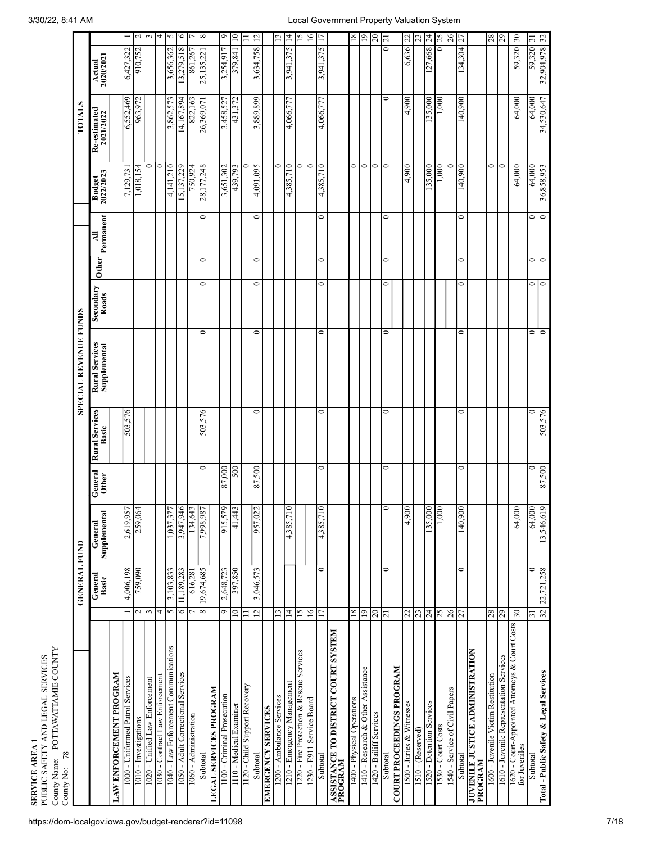|                                                                 |                          | <b>GENERAL FUND</b> |                         |                         |                                | <b>SPECIAL REVENUE FUNDS</b>          |                    |              |                  |                            | TOTALS                    |                          |                 |
|-----------------------------------------------------------------|--------------------------|---------------------|-------------------------|-------------------------|--------------------------------|---------------------------------------|--------------------|--------------|------------------|----------------------------|---------------------------|--------------------------|-----------------|
|                                                                 |                          | General<br>Basic    | Supplemental<br>General | General<br><b>Other</b> | <b>Rural Services</b><br>Basic | <b>Rural Services</b><br>Supplemental | Secondary<br>Roads | <b>Other</b> | Permanent<br>₹   | <b>Budget</b><br>2022/2023 | Re-estimated<br>2021/2022 | Actual<br>2020/2021      |                 |
| LAW ENFORCEMENT PROGRAM                                         |                          |                     |                         |                         |                                |                                       |                    |              |                  |                            |                           |                          |                 |
| 1000 - Uniformed Patrol Services                                |                          | 4,006,198           | 2,619,957               |                         | 503,576                        |                                       |                    |              |                  | 7,129,731                  | 6,552,469                 | 6,427,322                |                 |
| 1010 - Investigations                                           | $\overline{\mathcal{C}}$ | 759,090             | 259,064                 |                         |                                |                                       |                    |              |                  | 1,018,154                  | 963,972                   | 910,752                  | $\sim$          |
| 1020 - Unified Law Enforcement                                  | 3                        |                     |                         |                         |                                |                                       |                    |              |                  | 0                          |                           |                          | 3               |
| 1030 - Contract Law Enforcement                                 | 4                        |                     |                         |                         |                                |                                       |                    |              |                  | 0                          |                           |                          | 4               |
| 1040 - Law Enforcement Communications                           | $\mathbf{\hat{5}}$       | 3,103,833           | 1,037,377               |                         |                                |                                       |                    |              |                  | 4,141,210                  | 3,862,573                 | 3,656,362                | $\sim$          |
| 1050 - Adult Correctional Services                              | 6                        | 11, 189, 283        | 3,947,946               |                         |                                |                                       |                    |              |                  | 15,137,229                 | 14,167,894                | 13,279,518               | 6               |
| 1060 - Administration                                           | L                        | 616,281             | 134,643                 |                         |                                |                                       |                    |              |                  | 750,924                    | 822,163                   | 861,267                  |                 |
| Subtotal                                                        | $\infty$                 | 19,674,685          | 7,998,987               | $\bullet$               | 503,576                        | 0                                     | $\mathbf{\circ}$   | $\circ$      | $\mathbf{\circ}$ | 28,177,248                 | 26,369,071                | 25,135,221               | ${}^{\infty}$   |
| <b>LEGAL SERVICES PROGRAM</b>                                   |                          |                     |                         |                         |                                |                                       |                    |              |                  |                            |                           |                          |                 |
| 1100 - Criminal Prosecution                                     | $\circ$                  | 2,648,723           | 915,579                 | 87,000                  |                                |                                       |                    |              |                  | 3,651,302                  | 3,458,527                 | 3,254,917                | $\circ$         |
| 1110 - Medical Examiner                                         | $\approx$                | 397,850             | 41,443                  | 500                     |                                |                                       |                    |              |                  | 439,793                    | 431,372                   | 379,841                  | $\supseteq$     |
| 1120 - Child Support Recovery                                   | $\equiv$                 |                     |                         |                         |                                |                                       |                    |              |                  | 0                          |                           |                          | $\equiv$        |
| Subtotal                                                        | $\overline{2}$           | 3,046,573           | 957,022                 | 87,500                  | $\bullet$                      | $\circ$                               | 0                  | $\bullet$    | $\bullet$        | 4,091,095                  | 3,889,899                 | 3,634,758                | $\overline{c}$  |
| <b>EXERCENCY SERVICES</b>                                       |                          |                     |                         |                         |                                |                                       |                    |              |                  |                            |                           |                          |                 |
| 1200 - Ambulance Services                                       | $\mathbf{r}$             |                     |                         |                         |                                |                                       |                    |              |                  | 0                          |                           |                          | 13              |
| 1210 - Emergency Management                                     | $\vec{4}$                |                     | 4,385,710               |                         |                                |                                       |                    |              |                  | 4,385,710                  | 4,066,777                 | 3,941,375                | $\overline{4}$  |
| 1220 - Fire Protection & Rescue Services                        | $\overline{15}$          |                     |                         |                         |                                |                                       |                    |              |                  | $\bullet$                  |                           |                          | $\overline{15}$ |
| 1230 - E911 Service Board                                       | $\overline{6}$           |                     |                         |                         |                                |                                       |                    |              |                  | $\circ$                    |                           |                          | $\geq$          |
| Subtotal                                                        | 17                       | $\circ$             | 4,385,710               | $\bullet$               | 0                              | $\circ$                               | 0                  | $\circ$      | $\circ$          | 4,385,710                  | 4,066,777                 | 3,941,375                | $\overline{17}$ |
| ASSISTANCE TO DISTRICT COURT SYSTEM<br>PROGRAM                  |                          |                     |                         |                         |                                |                                       |                    |              |                  |                            |                           |                          |                 |
| 1400 - Physical Operations                                      | 81                       |                     |                         |                         |                                |                                       |                    |              |                  | $\bullet$                  |                           |                          | $18\,$          |
| 1410 - Research & Other Assistance                              | $\overline{0}$           |                     |                         |                         |                                |                                       |                    |              |                  | $\circ$                    |                           |                          | $\overline{0}$  |
| 1420 - Bailiff Services                                         | 20                       |                     |                         |                         |                                |                                       |                    |              |                  | $\circ$                    |                           |                          | $\overline{c}$  |
| Subtotal                                                        | $\overline{21}$          | $\circ$             |                         | $\bullet$               | 0                              | $\circ$                               | 0                  | $\circ$      | 0                | $\circ$                    | 0                         | $\overline{\phantom{0}}$ | $\overline{z}$  |
| <b>COURT PROCEEDINGS PROGRAM</b>                                |                          |                     |                         |                         |                                |                                       |                    |              |                  |                            |                           |                          |                 |
| 1500 - Juries & Witnesses                                       | 22                       |                     | 4,900                   |                         |                                |                                       |                    |              |                  | 4,900                      | 4,900                     | 6,636                    | 22              |
| $1510$ - (Reserved)                                             | 23                       |                     |                         |                         |                                |                                       |                    |              |                  |                            |                           |                          | 23              |
| 1520 - Detention Services                                       | 24                       |                     | 135,000                 |                         |                                |                                       |                    |              |                  | 135,000                    | 135,000                   | 127,668                  | $\overline{24}$ |
| 1530 - Court Costs                                              | 25                       |                     | 1,000                   |                         |                                |                                       |                    |              |                  | 1,000                      | 1,000                     | 5                        | 25              |
| 1540 - Service of Civil Papers                                  | 26                       |                     |                         |                         |                                |                                       |                    |              |                  | 0                          |                           |                          | 26              |
| Subtotal                                                        | 27                       | 0                   | 140,000                 | $\circ$                 | 0                              | 0                                     | 0                  | 0            | 0                | 140,900                    | 140,000                   | 134,304                  | 27              |
| <b>JUVENILE JUSTICE ADMINISTRATION<br/>PROGRAM</b>              |                          |                     |                         |                         |                                |                                       |                    |              |                  |                            |                           |                          |                 |
| 1600 - Juvenile Victim Restitution                              | 28                       |                     |                         |                         |                                |                                       |                    |              |                  | $\circ$                    |                           |                          | 28              |
| 1610 - Juvenile Representation Services                         | $\overline{0}$           |                     |                         |                         |                                |                                       |                    |              |                  | $\circ$                    |                           |                          | 29              |
| 1620 - Court-Appointed Attorneys & Court Costs<br>for Juveniles | $30\,$                   |                     | 64,000                  |                         |                                |                                       |                    |              |                  | 64,000                     | 64,000                    | 59,320 30                |                 |
| Subtotal                                                        | $\overline{31}$          | $\circ$             | 64,000                  | $\circ$                 | $\circ$                        | $\circ$                               | 0                  | $\bullet$    | $\bullet$        | 64,000                     | 64,000                    | 59,320 31                |                 |
| Total - Public Safety & Legal Services                          | 32                       | 22,721,258          | 13,546,619              | 87,500                  | 503,576                        | $\circ$                               | $\circ$            | $\circ$      | $\circ$          | 36,858,953                 | 34,530,647                | 32,904,978 32            |                 |

3/30/22, 8:41 AM Local Government Property Valuation System

**SE RVIC E**

PU<br>P

BLIC SAFETY<br>...<del>..</del>.. Nama: Bu

AN D LEG

AL SERVICES

**AREA 1**<br>AFFITY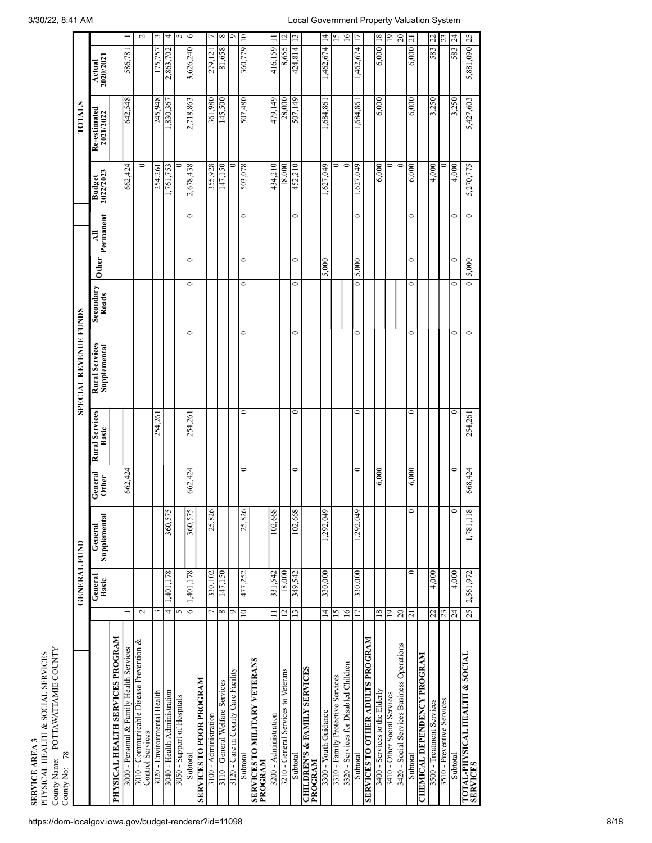| County Name: POTTAWATTAMIE COUNTY<br>PHYSICAL HEALTH & SOCIAL SERVICES<br><b>SERVICE AREA 3</b><br>$78$<br>County No: |                      |                     |                         |                         |                                |                                |                    |              |                |                            |                           |                     |                 |
|-----------------------------------------------------------------------------------------------------------------------|----------------------|---------------------|-------------------------|-------------------------|--------------------------------|--------------------------------|--------------------|--------------|----------------|----------------------------|---------------------------|---------------------|-----------------|
|                                                                                                                       |                      | <b>GENERAL FUND</b> |                         |                         |                                | <b>SPECIAL REVENUE FUNDS</b>   |                    |              |                |                            | <b>TOTALS</b>             |                     |                 |
|                                                                                                                       |                      | General<br>Basic    | Supplemental<br>General | General<br><b>Other</b> | <b>Rural Services</b><br>Basic | Rural Services<br>Supplemental | Secondary<br>Roads | <b>Other</b> | Permanent<br>₹ | <b>Budget</b><br>2022/2023 | Re-estimated<br>2021/2022 | 2020/2021<br>Actual |                 |
| PHYSICAL HEALTH SERVICES PROGRAM                                                                                      |                      |                     |                         |                         |                                |                                |                    |              |                |                            |                           |                     |                 |
| 3000 - Personal & Family Health Services                                                                              |                      |                     |                         | 662,424                 |                                |                                |                    |              |                | 662,424                    | 642,548                   | 586,781             |                 |
| 3010 - Communicable Disease Prevention &<br>Control Services                                                          | $\sim$               |                     |                         |                         |                                |                                |                    |              |                | $\circ$                    |                           |                     | $\sim$          |
| 3020 - Environmental Health                                                                                           | 3                    |                     |                         |                         | 254,261                        |                                |                    |              |                | 254,261                    | 245.948                   | 175.757             | ω               |
| 3040 - Health Administration                                                                                          | 4                    | 1,401,178           | $\sim$<br>360,57        |                         |                                |                                |                    |              |                | 1,761,753                  | 1,830,367                 | 2,863,702           | $\overline{4}$  |
| 3050 - Support of Hospitals                                                                                           | $\sim$               |                     |                         |                         |                                |                                |                    |              |                | 0                          |                           |                     | $\sim$          |
| Subtotal                                                                                                              | $\overline{\bullet}$ | 1,401,178           | $\mathbf{v}$<br>360,57  | 662,424                 | 254,261                        | $\circ$                        | 0                  | $\circ$      | $\circ$        | 2,678,438                  | 2,718,863                 | 3,626,240           | $\circ$         |
| <b>NYNDONA NOOG OL SEDIANES</b>                                                                                       |                      |                     |                         |                         |                                |                                |                    |              |                |                            |                           |                     |                 |
| 3100 - Administration                                                                                                 |                      | 330,102             | 6<br>25,82              |                         |                                |                                |                    |              |                | 355,928                    | 361,980                   | 279.12              | $\overline{ }$  |
| 3110 - General Welfare Services                                                                                       | ${}^{\circ}$         | 147,150             |                         |                         |                                |                                |                    |              |                | 147,150                    | 145,500                   | 81,658              | $\infty$        |
| 3120 - Care in County Care Facility                                                                                   | Ó                    |                     |                         |                         |                                |                                |                    |              |                | 0                          |                           |                     | Ó               |
| Subtotal                                                                                                              | 10                   | 477,252             | 25,826                  | 0                       | 0                              | 0                              | 0                  | 0            | $\mathbf{C}$   | 503,078                    | 507,480                   | 360,779             | $\vert$ 2       |
| <b>SNVNALIA ANVLITIN OL SIDIANIS</b><br>PROGRAM                                                                       |                      |                     |                         |                         |                                |                                |                    |              |                |                            |                           |                     |                 |
| 3200 - Administration                                                                                                 | $\equiv$             | 331,542             | 102,668                 |                         |                                |                                |                    |              |                | 434,210                    | 479,149                   | 416,159             | $\equiv$        |
| 3210 - General Services to Veterans                                                                                   | $\overline{c}$       | 18,000              |                         |                         |                                |                                |                    |              |                | 18,000                     | 28,000                    | 8,655               |                 |
| Subtotal                                                                                                              | $\overline{13}$      | 349,542             | 102,668                 | 0                       | 0                              | $\circ$                        | 0                  | 0            | $\circ$        | 452,210                    | 507,149                   | 424,814             | $\mathbf{r}$    |
| <b>CHILDREN'S &amp; FAMILY SERVICES</b><br>PROGRAM                                                                    |                      |                     |                         |                         |                                |                                |                    |              |                |                            |                           |                     |                 |
| 3300 - Youth Guidance                                                                                                 | $\overline{14}$      | 330,000             | 1,292,049               |                         |                                |                                |                    | 5,000        |                | 1,627,049                  | 1,684,861                 | 1,462,674           | $\overline{4}$  |
| 3310 - Family Protective Services                                                                                     | SI.                  |                     |                         |                         |                                |                                |                    |              |                | 0                          |                           |                     | $\frac{5}{2}$   |
| 3320 - Services for Disabled Children                                                                                 | 16                   |                     |                         |                         |                                |                                |                    |              |                | $\circ$                    |                           |                     | $\tilde{=}$     |
| Subtotal                                                                                                              | 17                   | 330,000             | 1,292,049               | 0                       | 0                              | $\circ$                        | 0                  | 5,000        | $\circ$        | 1,627,049                  | 1,684,861                 | 1,462,674           | $\overline{11}$ |
| <b>SERVICES TO OTHER ADULTS PROGRAM</b>                                                                               |                      |                     |                         |                         |                                |                                |                    |              |                |                            |                           |                     |                 |
| 3400 - Services to the Elderly                                                                                        | 18                   |                     |                         | 6,000                   |                                |                                |                    |              |                | 6,000                      | 6,000                     | $6,000$ 18          |                 |
| 3410 - Other Social Services                                                                                          | 19                   |                     |                         |                         |                                |                                |                    |              |                | $\circ$                    |                           |                     | $\overline{19}$ |
| 3420 - Social Services Business Operations                                                                            | $20\,$               |                     |                         |                         |                                |                                |                    |              |                | $\circ$                    |                           |                     | $\approx$       |
| Subtotal                                                                                                              | $\overline{21}$      | ⋍                   | $\circ$                 | 6,000                   | 0                              | 0                              | ∍                  | ∍            | 0              | 6,000                      | 6,000                     | 6,000               | $\overline{21}$ |
| <b>CHEMICAL DEPENDENCY PROGRAM</b>                                                                                    |                      |                     |                         |                         |                                |                                |                    |              |                |                            |                           |                     |                 |
| 3500 - Treatment Services                                                                                             | 77                   | 4,000               |                         |                         |                                |                                |                    |              |                | 4,000                      | 3,250                     | 583                 | 22              |
| 3510 - Preventive Services                                                                                            | 23                   |                     |                         |                         |                                |                                |                    |              |                | 0                          |                           |                     | $\overline{c}$  |
| Subtotal                                                                                                              | 24                   | 4,000               | $\bullet$               | $\circ$                 | 0                              | $\circ$                        | $\circ$            | $\circ$      | $\circ$        | 4,000                      | 3,250                     | 583                 | 24              |
| TOTAL-PHYSICAL HEALTH & SOCIAL<br><b>SERVICES</b>                                                                     | 25                   | 2,561,972           | 1,781,118               | 668,424                 | 254,261                        | $\circ$                        | $\circ$            | 5,000        | $\circ$        | 5,270,775                  | 5,427,603                 | 5,881,090           | 25              |
|                                                                                                                       |                      |                     |                         |                         |                                |                                |                    |              |                |                            |                           |                     |                 |

https://dom-localgov.iowa.gov/budget-renderer?id=11098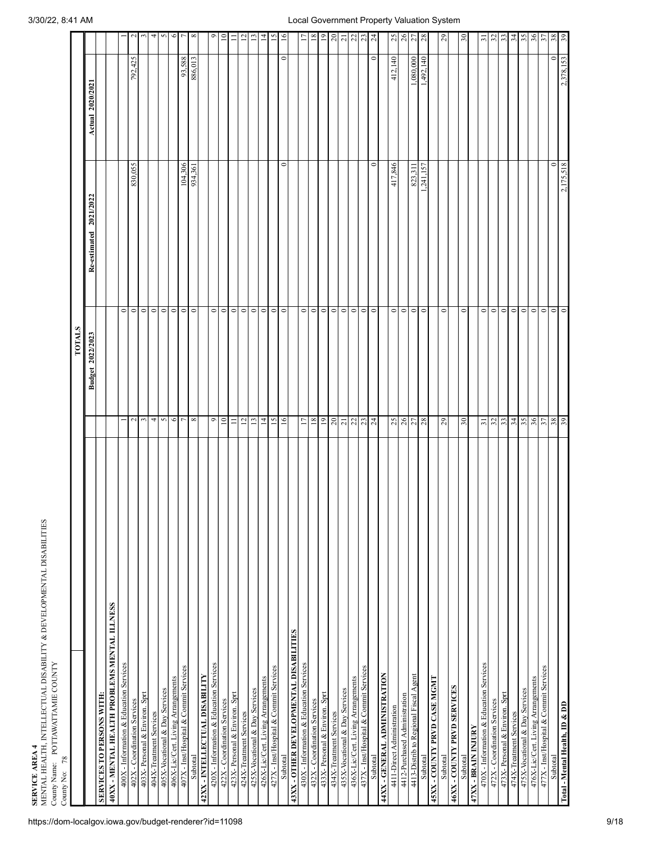| 78<br>County No:                             |                         |                        |                  |                 |
|----------------------------------------------|-------------------------|------------------------|------------------|-----------------|
|                                              | <b>TOTALS</b>           |                        |                  |                 |
|                                              | Budget 2022/2023        | Re-estimated 2021/2022 | Actual 2020/2021 |                 |
| SERVICES TO PERSONS WITH:                    |                         |                        |                  |                 |
| 40XX - MENTAL HEALTH PROBLEMS MENTAL ILLNESS |                         |                        |                  |                 |
| 400X - Information & Education Services      |                         | $\circ$                |                  |                 |
| 402X - Coordination Services                 | $\sim$                  | 830,055<br>$\circ$     | 792,425          | $\sim$          |
| 403X- Personal & Environ. Sprt               | $\mathfrak{c}$          | $\circ$                |                  | $\mathbf{c}$    |
| 404X-Treatment Services                      | 4                       | $\circ$                |                  | 4               |
| 405X-Vocational & Day Services               | $\circ$<br>$\sim$       |                        |                  | $\sim$          |
| 406X-Lic/Cert. Living Arrangements           | $\circ$                 | $\circ$                |                  | $\bullet$       |
| 407X - Inst/Hospital & Commit Services       | $\overline{r}$          | 104,306<br>$\circ$     | 93,588           | $\overline{r}$  |
| Subtotal                                     | $\infty$                | 934,361<br>$\circ$     | 886,013          | ${}^{\circ}$    |
| 42XX - INTELLECTUAL DISABILITY               |                         |                        |                  |                 |
| 420X - Information & Education Services      | $\circ$                 | $\circ$                |                  | ۰               |
| 422X - Coordination Services                 | $\overline{10}$         | $\circ$                |                  | $\Xi$           |
| 423X-Personal & Environ. Sprt                | $\equiv$                | $\circ$                |                  | $\equiv$        |
| 424X-Treatment Services                      | $12\,$                  | $\circ$                |                  | $\overline{2}$  |
| 425X-Vocational & Day Services               | $\overline{13}$         | $\circ$                |                  | $\Xi$           |
| 426X-Lic/Cert. Living Arrangements           | $\overline{1}$          | $\circ$                |                  | $\overline{4}$  |
| 427X - Inst/Hospital & Commit Services       | $\overline{15}$         | $\circ$                |                  | $\overline{15}$ |
| Subtotal                                     | $\overline{16}$         | $\circ$<br>$\circ$     | $\circ$          | 16              |
| 43XX - OTHER DEVELOPMENTAL DISABILITIES      |                         |                        |                  |                 |
| 430X - Information & Education Services      | $\overline{17}$         | $\circ$                |                  | L1              |
| 432X - Coordination Services                 | $18\,$                  | $\circ$                |                  | $18\,$          |
| 433X-Personal & Environ. Sprt                | $^{0}$                  | $\circ$                |                  | $\overline{19}$ |
| 434X-Treatment Services                      | 20                      | $\circ$                |                  | $20\,$          |
| 435X-Vocational & Day Services               | $\overline{\mathbf{c}}$ | $\circ$                |                  | $\overline{21}$ |
| 436X-Lic/Cert. Living Arrangements           | 22                      | $\circ$                |                  | $22\,$          |
| 437X - Inst/Hospital & Commit Services       | 23                      | $\circ$                |                  | 23              |
| Subtotal                                     |                         | $\circ$<br>$\circ$     | 0                | $\overline{24}$ |
| 44XX - GENERAL ADMINISTRATION                |                         |                        |                  |                 |
| 4411-Direct Administration                   | 25                      | 417,846<br>$\circ$     | 412,140          | 25              |
| 4412-Purchased Administration                | 26                      | $\circ$                |                  |                 |
| 4413-Distrib to Regional Fiscal Agent        | 27                      | 823,311<br>$\circ$     | 1,080,000        | 26              |
| Subtotal                                     | $\circ$<br>28           | 1,241,157              | 1,492,140        | 28              |
| 45XX - COUNTY PRVD CASE MGMT                 |                         |                        |                  |                 |
| Subtotal                                     | 29                      | $\circ$                |                  | $_{29}$         |
| 46XX - COUNTY PRVD SERVICES                  |                         |                        |                  |                 |
| Subtotal                                     | 30                      | $\circ$                |                  | $\mathfrak{S}$  |
| 47XX - BRAIN INJURY                          |                         |                        |                  |                 |
| 470X - Information & Education Services      | $\overline{31}$         | $\circ$                |                  | $\overline{31}$ |
| 472X - Coordination Services                 | 32                      | $\circ$                |                  | $\mathfrak{L}$  |
| 473X- Personal & Environ. Sprt               | 33                      | $\circ$                |                  | 33              |
| 474X-Treatment Services                      | 34                      | $\circ$                |                  | 34              |
| 475X-Vocational & Day Services               | 35                      | $\circ$                |                  | 35              |
| 476X-Lic/Cert. Living Arrangements           | 36                      | $\circ$                |                  | 36              |
| 477X - Inst/Hospital & Commit Services       | $\overline{37}$         | $\circ$                |                  | 57              |
| Subtotal                                     | 38                      | $\circ$<br>$\circ$     | $\circ$          | 38 <sub>8</sub> |
| Total - Mental Health, ID & DD               | 39                      | 2,175,518<br>$\circ$   | 2,378,153        |                 |
|                                              |                         |                        |                  |                 |

**SERVICE A**

**REA 4** MENTAL HEALTH, INTELLECTU

County Name: POTTAWATTA

MIE CO

UNTY

AL DISABILITY &

DEVELOPMENTAL DISABILITIES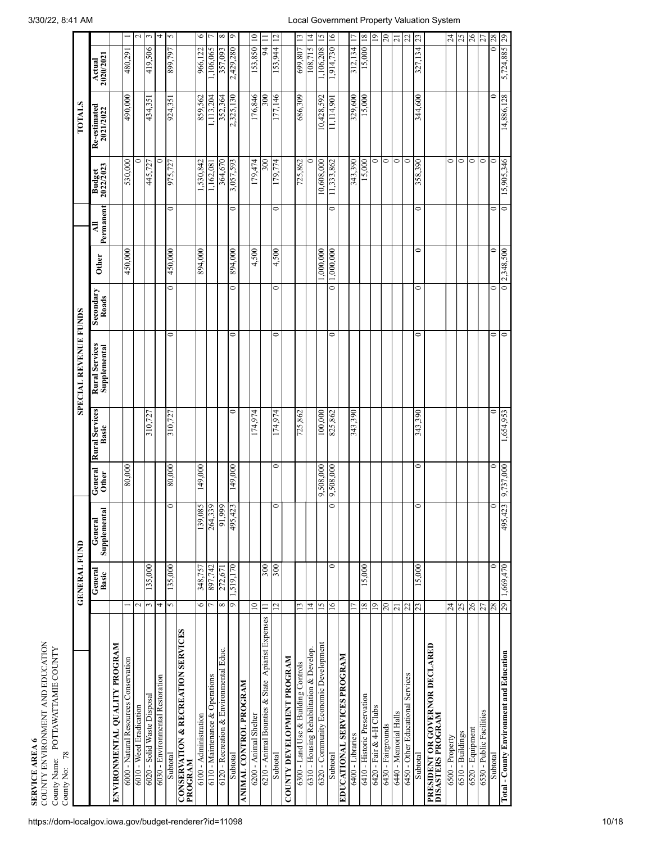| COUNTY ENVIRONMENT AND EDUCATION<br>County Name: POTTAWATTAMIE COUNTY<br><b>SERVICE AREA 6</b><br>County No: 78 |                          |                         |                                          |                         |                                |                                |                          |              |                |                            |                           |                     |                 |
|-----------------------------------------------------------------------------------------------------------------|--------------------------|-------------------------|------------------------------------------|-------------------------|--------------------------------|--------------------------------|--------------------------|--------------|----------------|----------------------------|---------------------------|---------------------|-----------------|
|                                                                                                                 |                          | <b>GENERAL FUND</b>     |                                          |                         |                                | <b>SPECIAL REVENUE FUNDS</b>   |                          |              |                |                            | <b>TOTALS</b>             |                     |                 |
|                                                                                                                 |                          | General<br><b>Basic</b> | $\overline{a}$<br>Supplements<br>General | General<br><b>Other</b> | <b>Rural Services</b><br>Basic | Rural Services<br>Supplemental | Secondary<br>Roads       | Other        | Permanent<br>₹ | <b>Budget</b><br>2022/2023 | Re-estimated<br>2021/2022 | 2020/2021<br>Actual |                 |
| ENVIRONMENTAL QUALITY PROGRAM                                                                                   |                          |                         |                                          |                         |                                |                                |                          |              |                |                            |                           |                     |                 |
| 6000 - Natural Resources Conservation                                                                           |                          |                         |                                          | 80,000                  |                                |                                |                          | 450,000      |                | 530,000                    | 490,000                   | 167698              |                 |
| 6010 - Weed Eradication                                                                                         | $\mathbf{\sim}$          |                         |                                          |                         |                                |                                |                          |              |                |                            |                           |                     | $\frac{2}{3}$   |
| 6020 - Solid Waste Disposal                                                                                     | 3                        | 135,000                 |                                          |                         | 310,727                        |                                |                          |              |                | 445,727                    | 434,351                   | 419,506             |                 |
| 6030 - Environmental Restoration                                                                                | 4                        |                         |                                          |                         |                                |                                |                          |              |                |                            |                           |                     | $\overline{a}$  |
| Subtotal                                                                                                        | $\sim$                   | 135,000                 | $\circ$                                  | 80,000                  | 310,727                        | $\circ$                        | $\circ$                  | 450,000      | $\circ$        | 975,727                    | 924,351                   | 899,797             | $\sim$          |
| <b>CONSERVATION &amp; RECREATION SENVICES</b><br>PROGRAM                                                        |                          |                         |                                          |                         |                                |                                |                          |              |                |                            |                           |                     |                 |
| 6100 - Administration                                                                                           | O                        | 348,757                 | 139,085                                  | 149,000                 |                                |                                |                          | 894,000      |                | 1,530,842                  | 859,562                   | 966,122             | 0               |
| 6110 - Maintenance & Operations                                                                                 |                          | 897,742                 | 39<br>264.3                              |                         |                                |                                |                          |              |                | 1,162,08                   | 1,113,204                 | 1,106,065           |                 |
| 6120 - Recreation & Environmental Educ.                                                                         | ${}^{\infty}$            | 272,671                 | 91,999                                   |                         |                                |                                |                          |              |                | 364,670                    | 352,364                   | 357,093             | $\infty$        |
| Subtotal                                                                                                        | $\sigma$                 | 1,519,170               | 495,423                                  | 149,000                 | 0                              | 0                              | 0                        | 894,000      | 0              | 3,057,593                  | 2,325,130                 | 2,429,280           | $\circ$         |
| <b>ANIMAL CONTROL PROGRAM</b>                                                                                   |                          |                         |                                          |                         |                                |                                |                          |              |                |                            |                           |                     |                 |
| 6200 - Animal Shelter                                                                                           | $\approx$                |                         |                                          |                         | 174,974                        |                                |                          | 4,500        |                | 179,474                    | 176,846                   | 153,850 10          |                 |
| 6210 - Animal Bounties & State Apiarist Expenses                                                                | $\equiv$                 | 300                     |                                          |                         |                                |                                |                          |              |                | $\approx 0$                | 300                       |                     | 94 II           |
| Subtotal                                                                                                        | $\overline{c}$           | 300                     | $\circ$                                  | $\bullet$               | 174,974                        | $\circ$                        | 0                        | 4,500        | $\circ$        | 179,774                    | 177,146                   | 153,944             | $\overline{c}$  |
| COUNTY DEVELOPMENT PROGRAM                                                                                      |                          |                         |                                          |                         |                                |                                |                          |              |                |                            |                           |                     |                 |
| 6300 - Land Use & Building Controls                                                                             | $\overline{13}$          |                         |                                          |                         | 725,862                        |                                |                          |              |                | 725,862                    | 686,309                   | 699,807 13          |                 |
| 6310 - Housing Rehabilitation & Develop.                                                                        | $\vec{A}$                |                         |                                          |                         |                                |                                |                          |              |                | $\circ$                    |                           | 108,715 14          |                 |
| 6320 - Community Economic Development                                                                           | 15                       |                         |                                          | 000'805'6               | 100,000                        |                                |                          | 000,000      |                | 10,608,000                 | 10,428,592                | 1,106,208           | $\overline{15}$ |
| Subtotal                                                                                                        | $\overline{16}$          | $\circ$                 | $\circ$                                  | 000'805'6               | 825,862                        | $\circ$                        | $\overline{\phantom{0}}$ | 1,000,000    | $\circ$        | 11,333,862                 | 11,114,901                | 1,914,730 16        |                 |
| <b>EDUCATIONAL SERVICES PROGRAM</b>                                                                             |                          |                         |                                          |                         |                                |                                |                          |              |                |                            |                           |                     |                 |
| 6400 - Libraries                                                                                                |                          |                         |                                          |                         | 343,390                        |                                |                          |              |                | 343,390                    | 329,600                   | 312,134             |                 |
| 6410 - Historic Preservation                                                                                    | $\frac{8}{18}$           | 15,000                  |                                          |                         |                                |                                |                          |              |                | 15,000                     | 15,000                    | 15,000              | 18              |
| 6420 - Fair & 4-H Clubs                                                                                         | $\overline{0}$           |                         |                                          |                         |                                |                                |                          |              |                | $\circ$                    |                           |                     | $\overline{0}$  |
| 6430 - Fairgrounds                                                                                              | $20\,$                   |                         |                                          |                         |                                |                                |                          |              |                | $\circ$                    |                           |                     | $20\,$          |
| 6440 - Memorial Halls                                                                                           | $\overline{z}$           |                         |                                          |                         |                                |                                |                          |              |                | $\circ$                    |                           |                     | $\overline{21}$ |
| 6450 - Other Educational Services                                                                               | 22                       |                         |                                          |                         |                                |                                |                          |              |                | $\circ$                    |                           |                     | $\frac{22}{13}$ |
| Subtotal                                                                                                        | $\overline{c}$           | 15,000                  | $\circ$                                  | $\bullet$               | 343,390                        | 0                              | 0                        | 0            | $\bullet$      | 358,390                    | 344,600                   | 327,134             |                 |
| PRESIDENT OR GOVERNOR DECLARED<br>DISASTERS PROGRAM                                                             |                          |                         |                                          |                         |                                |                                |                          |              |                |                            |                           |                     |                 |
| 6500 - Property                                                                                                 | $\overline{\mathcal{L}}$ |                         |                                          |                         |                                |                                |                          |              |                | 0                          |                           |                     | $\overline{24}$ |
| 6510 - Buildings                                                                                                | 25                       |                         |                                          |                         |                                |                                |                          |              |                | $\circ$                    |                           |                     | 25              |
| $6520$ - Equipment                                                                                              | $\sqrt{26}$              |                         |                                          |                         |                                |                                |                          |              |                | 0                          |                           |                     | $\frac{26}{27}$ |
| 6530 - Public Facilities                                                                                        | 77                       |                         |                                          |                         |                                |                                |                          |              |                | $\circ$                    |                           |                     |                 |
| Subtotal                                                                                                        | 28                       | 0                       | $\circ$                                  | $\circ$                 | $\circ$                        | $\circ$                        | 0                        |              | 0              | 0                          | 0                         |                     | 0 28            |
| Total - County Environment and Education                                                                        | 29                       | 1,669,470               | 495,423                                  | 000'131'6               | 1,654,953                      | $\circ$                        |                          | 0[2,348,500] | $\circ$        | 15,905,346                 | 14,886,128                | 5,724,885 29        |                 |
|                                                                                                                 |                          |                         |                                          |                         |                                |                                |                          |              |                |                            |                           |                     |                 |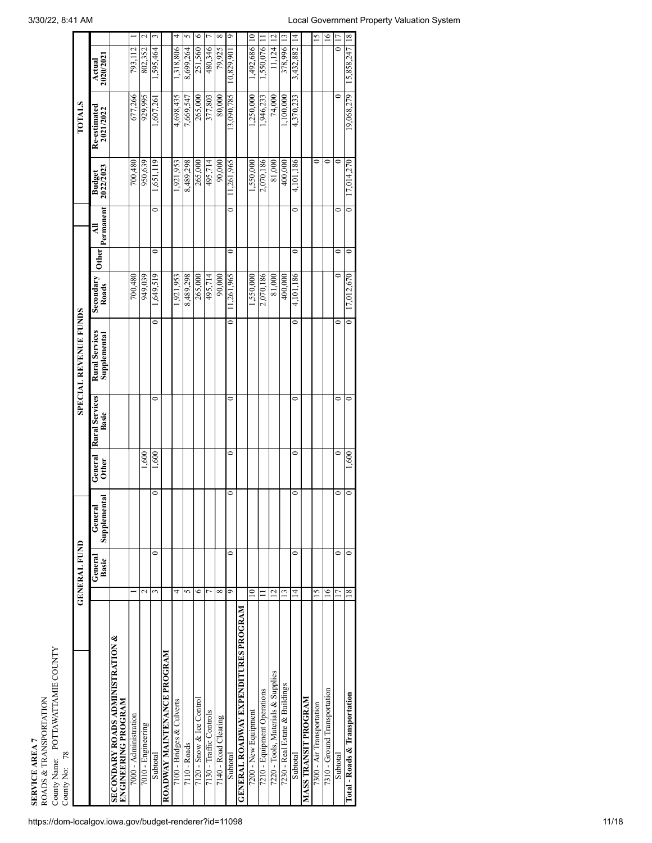| ROADS & TRANSPORTATION<br>SERVICE AREA 7                           |                 |                     |                              |                         |                                |                                       |                    |                    |                |                            |                           |                     |                        |
|--------------------------------------------------------------------|-----------------|---------------------|------------------------------|-------------------------|--------------------------------|---------------------------------------|--------------------|--------------------|----------------|----------------------------|---------------------------|---------------------|------------------------|
| County Name: POTTAWATTAMIE COUNTY<br>78<br>County No:              |                 |                     |                              |                         |                                |                                       |                    |                    |                |                            |                           |                     |                        |
|                                                                    |                 | <b>GENERAL FUND</b> |                              |                         |                                | <b>SPECIAL REVENUE FUNDS</b>          |                    |                    |                |                            | <b>TOTALS</b>             |                     |                        |
|                                                                    |                 | General<br>Basic    | nental<br>General<br>Supplem | General<br><b>Other</b> | <b>Rural Services</b><br>Basic | <b>Rural Services</b><br>Supplemental | Secondary<br>Roads | <b>Other</b>       | Permanent<br>₹ | <b>Budget</b><br>2022/2023 | Re-estimated<br>2021/2022 | 2020/2021<br>Actual |                        |
| <b>SECONDARY ROADS ADMINISTRATION &amp;</b><br>ENGINEERING PROGRAM |                 |                     |                              |                         |                                |                                       |                    |                    |                |                            |                           |                     |                        |
| 7000 - Administration                                              |                 |                     |                              |                         |                                |                                       | 700,480            |                    |                | 700,480                    | 677,266                   | 793,112             |                        |
| 7010 - Engineering                                                 |                 | $\mathcal{L}$       |                              | 1,600                   |                                |                                       | 949,039            |                    |                | 950,639                    | 929,995                   | 802,352             | $\mathbf{\mathcal{L}}$ |
| Subtotal                                                           |                 | 0<br>3              | 0                            | 1,600                   | 0                              | 0                                     | 1,649,519          | 0                  | 0              | 1,651,119                  | ,607,261                  | ,595,464            | $\omega$               |
| ROADWAY MAINTENANCE PROGRAM                                        |                 |                     |                              |                         |                                |                                       |                    |                    |                |                            |                           |                     |                        |
| 7100 - Bridges & Culverts                                          |                 | 4                   |                              |                         |                                |                                       | 1,921,953          |                    |                | .921,953                   | 4,698,435                 | .318,806            | 4                      |
| $7110 -$ Roads                                                     |                 | 5                   |                              |                         |                                |                                       | 8,489,298          |                    |                | 8,489,298                  | 7,669,547                 | 8,699,264           | n                      |
| 7120 - Snow & Ice Control                                          |                 | ∘                   |                              |                         |                                |                                       | 265,000            |                    |                | 265,000                    | 265,000                   | 251,560             | $\circ$                |
| 7130 - Traffic Controls                                            |                 |                     |                              |                         |                                |                                       | 495,714            |                    |                | 495,714                    | 377,803                   | 480,346             | L                      |
| 7140 - Road Clearing                                               |                 | ∞                   |                              |                         |                                |                                       | 90,000             |                    |                | 90,000                     | 80,000                    | 79,925              | $\infty$               |
| Subtotal                                                           |                 | 0<br>ഐ              | 0                            | 0                       | 0                              | 0                                     | 11,261,965         | 0                  | 0              | 11,261,965                 | 13,090,785                | 10,829,90           | $\circ$                |
| <b>GENERAL ROAMAY EXPENDITURES PROGRAM</b>                         |                 |                     |                              |                         |                                |                                       |                    |                    |                |                            |                           |                     |                        |
| 7200 - New Equipment                                               |                 | $\mathsf{P}$        |                              |                         |                                |                                       | 1,550,000          |                    |                | 1,550,000                  | 1,250,000                 | 1,492,686           | $\Xi$                  |
| 7210 - Equipment Operations                                        |                 |                     |                              |                         |                                |                                       | 2,070,186          |                    |                | 2,070,186                  | 1,946,233                 | 1,550,076           |                        |
| 7220 - Tools, Materials & Supplies                                 |                 | $\overline{C}$      |                              |                         |                                |                                       | 81,000             |                    |                | 81,000                     | 74,000                    | 11,124              | $\overline{c}$         |
| 7230 - Real Estate & Buildings                                     |                 | IJ                  |                              |                         |                                |                                       | 400,000            |                    |                | 400,000                    | 1,100,000                 | 378,996             | $\frac{13}{2}$         |
| Subtotal                                                           |                 | 0<br>4              | 0                            | ⊂                       | 0                              | 0                                     | 4,101,186          | 0                  | 0              | 4,101,186                  | 4,370,233                 | 3,432,882           | $\vec{a}$              |
| <b>MASS TRANSIT PROGRAM</b>                                        |                 |                     |                              |                         |                                |                                       |                    |                    |                |                            |                           |                     |                        |
| 7300 - Air Transportation                                          |                 | $\overline{5}$      |                              |                         |                                |                                       |                    |                    |                | 0                          |                           |                     | $\tilde{c}$            |
| 7310 - Ground Transportation                                       |                 | $\overline{6}$      |                              |                         |                                |                                       |                    |                    |                | $\overline{\phantom{0}}$   |                           |                     | $\frac{8}{1}$          |
| Subtotal                                                           | $\overline{17}$ | $\circ$             | $\circ$                      | $\circ$                 | $\circ$                        | 0                                     |                    | $\circ$<br>$\circ$ | $\circ$        | $\overline{\phantom{0}}$   | $\circ$                   |                     | 017                    |
|                                                                    |                 |                     |                              |                         |                                |                                       |                    |                    |                |                            |                           |                     |                        |

 $16 \square$ Ô,

 $\frac{8}{10}$ 

15,858,247

9,068,279

7,014,270

0

7.012.670

 $\overline{\phantom{a}}$ 

 $600,$ 

 $\bullet$  $\circ$ 

 $\overline{\phantom{0}}$ Ó

18

Total - Roads & Transportation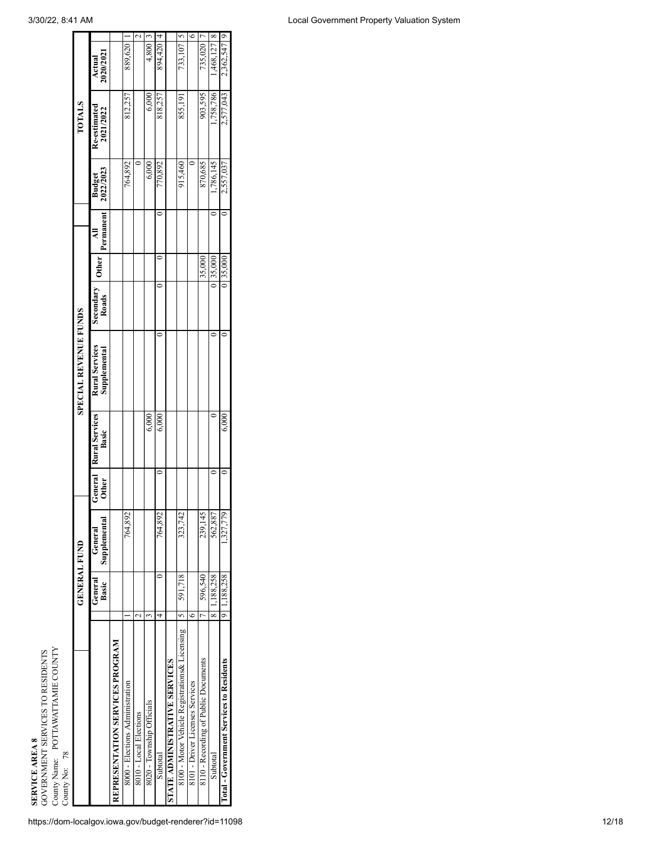|                                                        |                     | <b>GENERAL FUND</b> |                         |                                |                  |
|--------------------------------------------------------|---------------------|---------------------|-------------------------|--------------------------------|------------------|
| https://dom-localgov.iowa.gov/budget-renderer?id=11098 |                     | General<br>Basic    | Supplemental<br>General | <b>General</b><br><b>Other</b> | Rural Se<br>Basi |
| REPRESENTATION SERVICES PROGRAM                        |                     |                     |                         |                                |                  |
| 8000 - Elections Administration                        |                     |                     | 764,892                 |                                |                  |
| 8010 - Local Elections                                 | $\mathbf{\sim}$     |                     |                         |                                |                  |
| 8020 - Township Officials                              | 3                   |                     |                         |                                |                  |
| Subtotal                                               | 4                   |                     | 764,892                 | ≏                              |                  |
| <b>STATE ADMINISTRATIVE SERVICES</b>                   |                     |                     |                         |                                |                  |
| 8100 - Motor Vehicle Registrations& Licensing          | 5                   | 591,718             | 323,742                 |                                |                  |
| 8101 - Driver Licenses Services                        | ه                   |                     |                         |                                |                  |
| 8110 - Recording of Public Documents                   | h                   | 596,540             | 239,145                 |                                |                  |
| Subtotal                                               | $\overline{\infty}$ | 1,188,258           | 562,887                 |                                |                  |
| Total - Government Services to Residents               | $\overline{\circ}$  | 1,188,258           | 1,327,779               |                                |                  |

|                                               |                  | <b>GENERAL FUND</b>     |              |                                 | <b>SPECIAL REVENUE FUNDS</b>   |                    |              |                           |                            | <b>TOTALS</b>             |                     |                          |
|-----------------------------------------------|------------------|-------------------------|--------------|---------------------------------|--------------------------------|--------------------|--------------|---------------------------|----------------------------|---------------------------|---------------------|--------------------------|
|                                               | General<br>Basic | Supplemental<br>General | <b>Other</b> | General Rural Services<br>Basic | Rural Services<br>Supplemental | Secondary<br>Roads | <b>Other</b> | Permanent<br>$\mathbf{H}$ | <b>Budget</b><br>2022/2023 | Re-estimated<br>2021/2022 | Actual<br>2020/2021 |                          |
| REPRESENTATION SERVICES PROGRAM               |                  |                         |              |                                 |                                |                    |              |                           |                            |                           |                     |                          |
| 8000 - Elections Administration               |                  | 764,892                 |              |                                 |                                |                    |              |                           | 764,892                    | 812,257                   | 889.620             |                          |
| 8010 - Local Elections                        |                  |                         |              |                                 |                                |                    |              |                           |                            |                           |                     | $\overline{\mathcal{L}}$ |
| 8020 - Township Officials                     |                  |                         |              | 6,000                           |                                |                    |              |                           | 6,000                      | 6,000                     | 4,800 3             |                          |
| Subtotal                                      |                  | 764,892                 |              | 6,000                           |                                |                    |              |                           | 770,892                    | 818,257                   | 894,420 4           |                          |
| <b>STATE ADMINISTRATIVE SERVICES</b>          |                  |                         |              |                                 |                                |                    |              |                           |                            |                           |                     |                          |
| 8100 - Motor Vehicle Registrations& Licensing | 591,718          | 323,742                 |              |                                 |                                |                    |              |                           | 915,460                    | 855,191                   | $733,107$   5       |                          |
| 8101 - Driver Licenses Services               |                  |                         |              |                                 |                                |                    |              |                           |                            |                           |                     | $\circ$                  |
| 8110 - Recording of Public Documents          |                  | 239,145<br>596,540      |              |                                 |                                |                    | 35,000       |                           | 870,685                    | 903,595                   | 735,020             | ŗ                        |
| $\propto$<br>Subtotal                         | .,188,258        | 562,887                 |              |                                 |                                |                    | 0 35,000     |                           | 1,786,145                  | 1,758,786                 | $1,468,127$ 8       |                          |
| Total - Government Services to Residents      | 1,188,258        | .327,779                |              | 6,000                           |                                |                    | 0 35,000     |                           | 2,557,037                  | 2,577,043                 | 2,362,547 9         |                          |
|                                               |                  |                         |              |                                 |                                |                    |              |                           |                            |                           |                     |                          |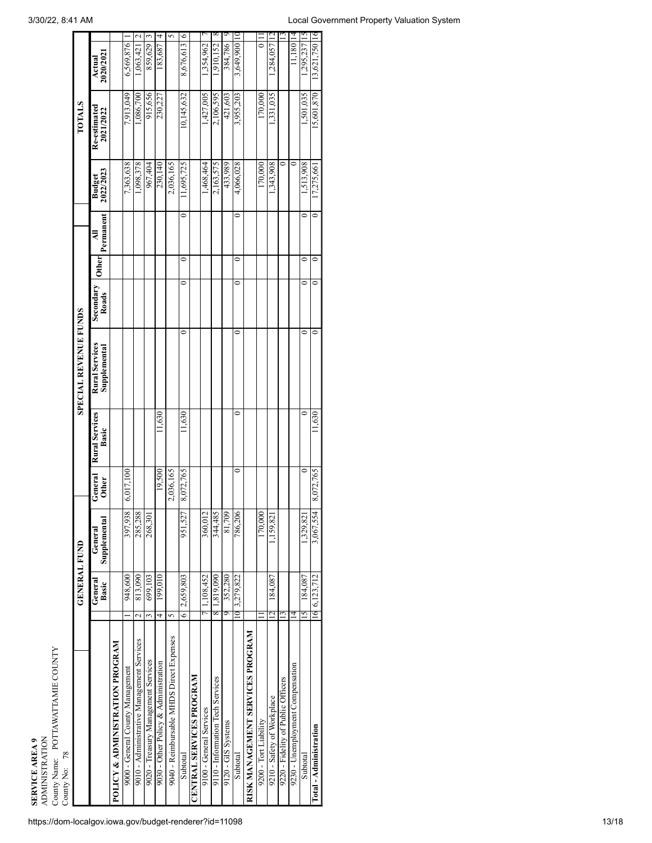**SERVICE AREA 9**<br>ADMINISTRATION<br>Couny Name: POTTAWATTAMIE COUNTY ADMINISTRATION County Name: POTTAWATTAMIE COUNTY

| County No: 78                              |                 |                     |                         |                         |                                |                                |                    |              |                          |                            |                           |                              |                |
|--------------------------------------------|-----------------|---------------------|-------------------------|-------------------------|--------------------------------|--------------------------------|--------------------|--------------|--------------------------|----------------------------|---------------------------|------------------------------|----------------|
|                                            |                 | <b>GENERAL FUND</b> |                         |                         |                                | <b>SPECIAL REVENUE FUNDS</b>   |                    |              |                          |                            | <b>TOTALS</b>             |                              |                |
|                                            |                 | General<br>Basic    | Supplemental<br>General | General<br><b>Other</b> | <b>Rural Services</b><br>Basic | Rural Services<br>Supplemental | Secondary<br>Roads | <b>Other</b> | Permanent<br>₹           | <b>Budget</b><br>2022/2023 | Re-estimated<br>2021/2022 | 2020/2021<br>Actual          |                |
| <b>POLICY &amp; ADMINISTRATION PROGRAM</b> |                 |                     |                         |                         |                                |                                |                    |              |                          |                            |                           |                              |                |
| 9000 - General County Management           |                 | 948,600             | 397,938                 | 6,017,100               |                                |                                |                    |              |                          | 7,363,638                  | 7,913,049                 | 6,569,876                    |                |
| 9010 - Administrative Management Services  | $\mathbf{\sim}$ | 813,090             | 285,288                 |                         |                                |                                |                    |              |                          | 1,098,378                  | 1,086,700                 | $\mathbf{\sim}$<br>1,063,421 |                |
| 9020 - Treasury Management Services        | 3               | 699,103             | 268,30                  |                         |                                |                                |                    |              |                          | 967,404                    | 915,656                   | 3<br>859,629                 |                |
| 9030 - Other Policy & Administration       | 4               | 199,010             |                         | 19,500                  | 11,630                         |                                |                    |              |                          | 230,140                    | 230,227                   | 4<br>183,687                 |                |
| 9040 - Reimbursable MHDS Direct Expenses   | 5               |                     |                         | 2,036,165               |                                |                                |                    |              |                          | 2,036,165                  |                           | 5                            |                |
| Subtotal                                   | o               | 2,659,803           | 951,527                 | 8,072,765               | 11,630                         | 0                              |                    | 0            | $\overline{\phantom{0}}$ | 11,695,725                 | 10,145,632                | $\circ$<br>8,676,613         |                |
| <b>CENTRAL SERVICES PROGRAM</b>            |                 |                     |                         |                         |                                |                                |                    |              |                          |                            |                           |                              |                |
| 9100 - General Services                    |                 | .108,452            | 360,012                 |                         |                                |                                |                    |              |                          | 1,468,464                  | 1,427,005                 | .354,962                     |                |
| 9110 - Information Tech Services           | ∞               | .819,090            | 344,485                 |                         |                                |                                |                    |              |                          | 2,163,575                  | 2,106,595                 | 1,910,152                    | X              |
| 9120 - GIS Systems                         | 9               | 352,280             | 81,709                  |                         |                                |                                |                    |              |                          | 433,989                    | 421,603                   | 384,786                      | ๑              |
| Subtotal                                   |                 | 10 3,279,822        | 786,206                 | 0                       | 0                              | 0                              | 0                  | 0            | $\bullet$                | 4,066,028                  | 3,955,203                 | 3,649,900 10                 |                |
| RISK MANAGEMENT SERVICES PROGRAM           |                 |                     |                         |                         |                                |                                |                    |              |                          |                            |                           |                              |                |
| 9200 - Tort Liability                      |                 |                     | 170,000                 |                         |                                |                                |                    |              |                          | 170,000                    | 170,000                   |                              |                |
| 9210 - Safety of Workplace                 |                 | 184,087             | 1,159,821               |                         |                                |                                |                    |              |                          | 1,343,908                  | 1,331,035                 | .284,057                     |                |
| 9220 - Fidelity of Public Officers         |                 |                     |                         |                         |                                |                                |                    |              |                          |                            |                           |                              | $\mathfrak{c}$ |
| 9230 - Unemployment Compensation           | 4               |                     |                         |                         |                                |                                |                    |              |                          |                            |                           | 11,180                       | 4              |
| Subtotal                                   | 5               | 184.087             | 1.329.82                | 0                       |                                | $\circ$                        |                    | 0            | $\circ$                  | 1,513,908                  | 1,501,035                 | 1,295,237                    | ا 5            |
| Total - Administration                     |                 | 6 6,123,712         | 3,067,554               | 8,072,765               | 11,630                         | $\circ$                        |                    | 0            | $\overline{\phantom{0}}$ | 17,275,66                  | 15,601,870                | 13,621,750 16                |                |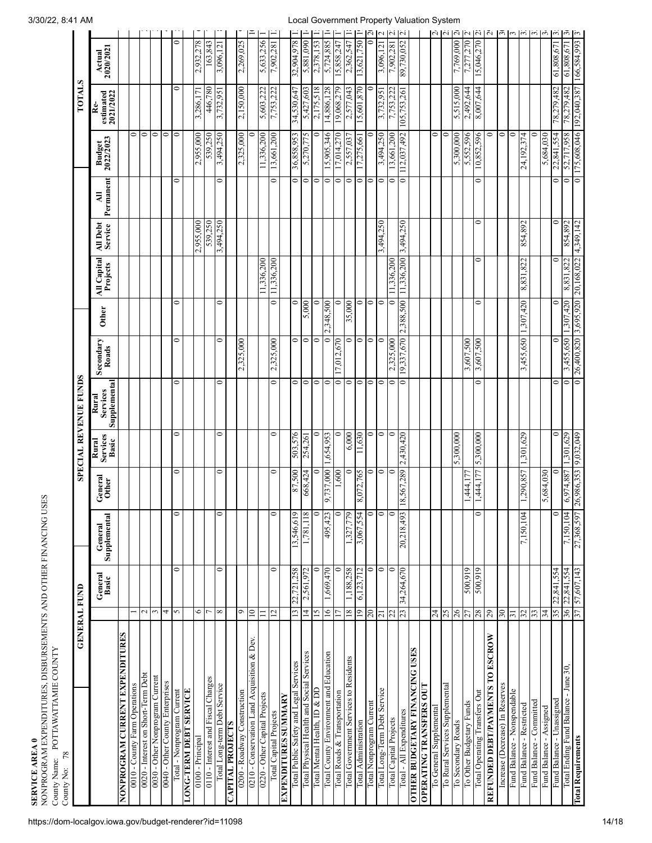NONPROGRAM EXPEN<br>County Name: POTTAW DITU RES, DISB U RSEMENTS AN D OTHER FIN AN CIN G USES

County Name: POTTAWATTA MIE C O UNTY

| 78<br>County No:                            |                   |                  |                         |                  |                                   |                                   |                    |              |                         |                     |                  |                            |                                       |                     |                                 |
|---------------------------------------------|-------------------|------------------|-------------------------|------------------|-----------------------------------|-----------------------------------|--------------------|--------------|-------------------------|---------------------|------------------|----------------------------|---------------------------------------|---------------------|---------------------------------|
| <b>GENERAL FUND</b>                         |                   |                  |                         |                  |                                   | <b>SPECIAL REVENUE FUNDS</b>      |                    |              |                         |                     |                  |                            | <b>TOTALS</b>                         |                     |                                 |
|                                             |                   | General<br>Basic | General<br>Supplemental | General<br>Other | <b>Services</b><br>Basic<br>Rural | Supplemental<br>Services<br>Rural | Secondary<br>Roads | <b>Other</b> | All Capital<br>Projects | All Debt<br>Service | Permanent<br>₹   | <b>Budget</b><br>2022/2023 | estimated<br>$2021/2022$<br><u>مم</u> | 2020/2021<br>Actual |                                 |
| NONPROGRAM CURRENT EXPENDITURES             |                   |                  |                         |                  |                                   |                                   |                    |              |                         |                     |                  |                            |                                       |                     |                                 |
| 0010 - County Farm Operations               |                   |                  |                         |                  |                                   |                                   |                    |              |                         |                     |                  | $\bullet$                  |                                       |                     |                                 |
| 0020 - Interest on Short-Term Debt          | Z                 |                  |                         |                  |                                   |                                   |                    |              |                         |                     |                  | $\bullet$                  |                                       |                     |                                 |
| 0030 - Other Nonprogram Current             | 3                 |                  |                         |                  |                                   |                                   |                    |              |                         |                     |                  | $\bullet$                  |                                       |                     |                                 |
| 0040 - Other County Enterprises             | 4                 |                  |                         |                  |                                   |                                   |                    |              |                         |                     |                  | $\circ$                    |                                       |                     |                                 |
| Total - Nonprogram Current                  | $\sim$            | 0                | $\circ$                 | 0                | 0                                 | $\bullet$                         | 0                  | 0            |                         |                     | 0                | $\circ$                    | $\bullet$                             | $\bullet$           |                                 |
| <b>LONG-TERM DEBT SERVICE</b>               |                   |                  |                         |                  |                                   |                                   |                    |              |                         |                     |                  |                            |                                       |                     |                                 |
| 0100 - Principal                            | 0                 |                  |                         |                  |                                   |                                   |                    |              |                         | 2,955,000           |                  | 2,955,000                  | 3,286,171                             | 2,932,278           |                                 |
| 0110 - Interest and Fiscal Charges          |                   |                  |                         |                  |                                   |                                   |                    |              |                         | 539,250             |                  | 539,250                    | 446,780                               | 163,843             |                                 |
| Total Long-term Debt Service                | $\infty$          | $\circ$          | $\circ$                 | $\bullet$        | 0                                 | $\circ$                           | $\circ$            | $\bullet$    |                         | 3,494,250           | $\circ$          | 3,494,250                  | 3,732,951                             | 3,096,121           |                                 |
| <b>CAPITAL PROJECTS</b>                     |                   |                  |                         |                  |                                   |                                   |                    |              |                         |                     |                  |                            |                                       |                     |                                 |
| 0200 - Roadway Construction                 | $\circ$           |                  |                         |                  |                                   |                                   | 2,325,000          |              |                         |                     |                  | 2,325,000                  | 2,150,000                             | 2,269,025           |                                 |
| 0210 - Conservation Land Acquisition & Dev. | $\approx$         |                  |                         |                  |                                   |                                   |                    |              |                         |                     |                  | 0                          |                                       |                     |                                 |
| 0220 - Other Capital Projects               | $\equiv$          |                  |                         |                  |                                   |                                   |                    |              | 11,336,200              |                     |                  | 11,336,200                 | 5,603,222                             | 5,633,256           |                                 |
| Total Capital Projects                      | $\mathbf{r}$      | 0                | 0                       | 0                | 0                                 | $\bullet$                         | 2,325,000          | $\bullet$    | 11,336,200              |                     | 0                | 13,661,200                 | 7,753,222                             | 7,902,281           |                                 |
| <b>ANVIVINIS STAILIIGNAAXA</b>              |                   |                  |                         |                  |                                   |                                   |                    |              |                         |                     |                  |                            |                                       |                     |                                 |
| Total Public Safety and Legal Services      | $\overline{13}$   | 22,721,258       | 13,546,619              | 87,500           | 503,576                           | $\bullet$                         | 0                  | 0            |                         |                     | 0                | 36,858,953                 | 34,530,647                            | 32,904,978          |                                 |
| Total Physical Health and Social Services   | $\overline{4}$    | 2,561,972        | 1,781,118               | 668,424          | 254,261                           | $\circ$                           | $\circ$            | 5,000        |                         |                     | $\circ$          | 5,270,775                  | 5,427,603                             | 5,881,090           |                                 |
| Total Mental Health, ID & DD                | $\overline{15}$   | $\circ$          | $\circ$                 | ∊                | $\circ$                           | $\bullet$                         | $\circ$            | 0            |                         |                     | $\circ$          | $\circ$                    | 2,175,518                             | 2,378,153           |                                 |
| Total County Environment and Education      | $\overline{6}$    | 1,669,470        | 495,423                 | 9,737,000        | ,654,953                          | $\bullet$                         | 0                  | 2,348,500    |                         |                     | $\circ$          | 5,905,346                  | 14,886,128                            | 5,724,885           |                                 |
| Total Roads & Transportation                |                   | 0                | $\mathbf{\circ}$        | 1,600            | 0                                 | $\circ$                           | 7,012,670          | 0            |                         |                     | $\circ$          | 7,014,270                  | 19,068,279                            | 5,858,247           |                                 |
| Total Government Services to Residents      | $\frac{8}{18}$    | 1,188,258        | 1,327,779               | 0                | 6,000                             | $\circ$                           | 0                  | 35,000       |                         |                     | 0                | 2,557,037                  | 2,577,043                             | 2,362,547           |                                 |
| <b>Total Administration</b>                 | $\overline{19}$   | 6,123,712        | 3,067,554               | 8,072,765        | 11,630                            | $\circ$                           | $\circ$            | 0            |                         |                     | $\circ$          | 17,275,661                 | 15,601,870                            | 13,621,750          |                                 |
| Total Nonprogram Current                    | $\overline{c}$    | 0                | $\circ$                 | 0                | $\circ$                           | $\bullet$                         | $\circ$            | 0            |                         |                     | $\circ$          | 0                          | 0                                     |                     | اب                              |
| Total Long-Term Debt Service                | $\overline{z}$    | $\bullet$        | $\circ$                 | $\circ$          | $\circ$                           | $\bullet$                         | 0                  | 0            |                         | 3,494,250           | $\mathbf{\circ}$ | 3,494,250                  | 3,732,951                             | 3,096,121           | $\sim$                          |
| Total Capital Projects                      | Z                 | 0                | 0                       | 0                | 0                                 | $\bullet$                         | 325,000            | 0            | 1,336,200               |                     | $\mathbf{\circ}$ | 3,661,200                  | 1,753,222                             | 7,902,281           | Ñ                               |
| Total - All Expenditures                    | 23                | 34,264,670       | 20,218,493              | 18,567,289       | 2,430,420                         | $\bullet$                         | 19,337,670         | 2,388,500    | 11,336,200              | 3,494,250           | $\bullet$        | 112,037,492                | 105,753,261                           | 89,730,052          | $\sim$                          |
| <b>OTHER BUDGETARY FINANCING USES</b>       |                   |                  |                         |                  |                                   |                                   |                    |              |                         |                     |                  |                            |                                       |                     |                                 |
| OPERATING TRANSFERS OUT                     |                   |                  |                         |                  |                                   |                                   |                    |              |                         |                     |                  |                            |                                       |                     |                                 |
| To General Supplemental                     | $\overline{24}$   |                  |                         |                  |                                   |                                   |                    |              |                         |                     |                  | $\bullet$                  |                                       |                     | Ń                               |
| To Rural Services Supplemental              | 25                |                  |                         |                  |                                   |                                   |                    |              |                         |                     |                  | 0                          |                                       |                     | $\sim$                          |
| To Secondary Roads                          | 26                |                  |                         |                  | 5,300,000                         |                                   |                    |              |                         |                     |                  | 5,300,000                  | 5,515,000                             | 7,769,000           | $\overline{a}$                  |
| To Other Budgetary Funds                    | 27                | 500,919          |                         | 1,444.1          |                                   |                                   | 3,607,500          |              |                         |                     |                  | 5,552,596                  | 2,492,644                             | 7,277,270           | $\sim$                          |
| Total Operating Transfers Out               | 28                | 500,919          | $\circ$                 | 1,444,177        | 5,300,000                         | $\bullet$                         | 3,607,500          | $\bullet$    | $\circ$                 | 0                   | $\bullet$        | 10,852,596                 | 8,007,644                             | 15,046,270          | $\ddot{\Omega}$ $\ddot{\Omega}$ |
| REFUNDED DEBT/PAYMENTS TO ESCROW            | 29                |                  |                         |                  |                                   |                                   |                    |              |                         |                     |                  | 0                          |                                       |                     |                                 |
| Increase (Decrease) In Reserves             | $\boldsymbol{30}$ |                  |                         |                  |                                   |                                   |                    |              |                         |                     |                  | $\circ$                    |                                       |                     | $\tilde{\mathfrak{G}}$          |
| Fund Balance - Nonspendable                 | $\overline{5}$    |                  |                         |                  |                                   |                                   |                    |              |                         |                     |                  | $\circ$                    |                                       |                     | $\epsilon$                      |
| Fund Balance - Restricted                   | 32                |                  | 7,150,104               | 1,290,857        | 1,301,629                         |                                   | 3,455,650          | 1,307,420    | 8,831,822               | 854,892             |                  | 24,192,374                 |                                       |                     | $\omega$ $\omega$               |
| Fund Balance - Committed                    | 33                |                  |                         |                  |                                   |                                   |                    |              |                         |                     |                  | 0                          |                                       |                     |                                 |
| Fund Balance - Assigned                     | 34                |                  |                         | 5,684,030        |                                   |                                   |                    |              |                         |                     |                  | 5,684,030                  |                                       |                     | بي                              |
| Fund Balance - Unassigned                   |                   | 35 22,841,554    | $\Rightarrow$           | 0                | $\circ$                           | 0                                 | $\circ$            | $\circ$      | $\circ$                 | 0                   | 0                | 22,841,554                 | 78,279,482                            | 61,808,671          | $\sim$                          |
| Total Ending Fund Balance - June 30,        | 36                | 22,841,554       | 7,150,104               | 6,974,887        | 1,301,629                         | $\bullet$                         | 3,455,650          | 1,307,420    | 8,831,822               | 854,892             | 0                | 52,717,958                 | 78,279,482                            | 61,808,671          | بي                              |
| <b>Total Requirements</b>                   | 57                | 57,607,143       | 27,368,597              | 26,986,353       | 9,032,049                         | $\overline{\phantom{0}}$          | 26,400,820         | 3,695,920    | 20,168,022              | 4,349,142           | $\bullet$        | 175,608,046                | 192,040,387                           | 166,584,993         |                                 |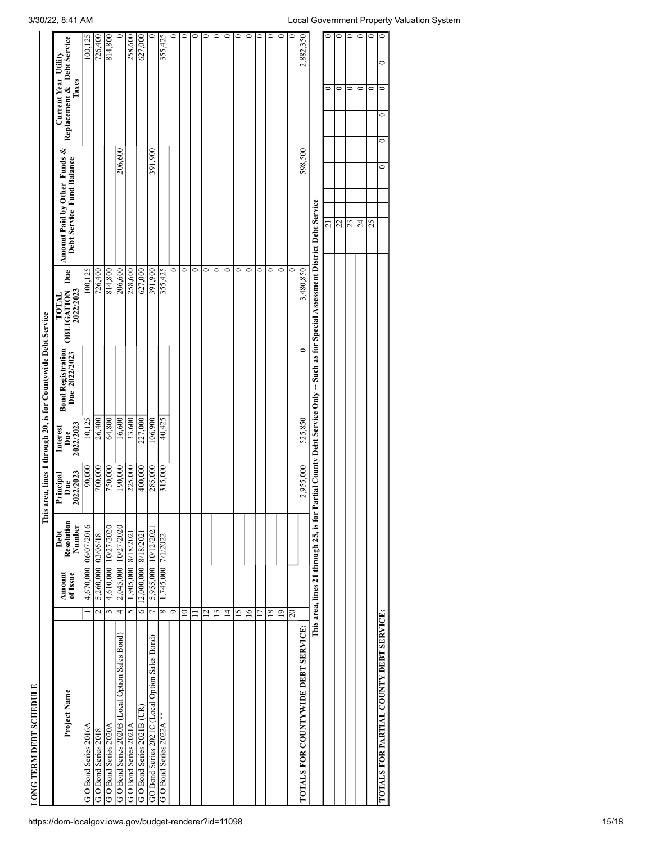| LONG TERM DEBT SCHEDULE                         |                    |                        |                                          |                               |                              |                                                          |                                                                                         |                                                           |                                                                           |              |
|-------------------------------------------------|--------------------|------------------------|------------------------------------------|-------------------------------|------------------------------|----------------------------------------------------------|-----------------------------------------------------------------------------------------|-----------------------------------------------------------|---------------------------------------------------------------------------|--------------|
|                                                 |                    |                        | This                                     |                               |                              | area, lines 1 through 20, is for Countywide Debt Service |                                                                                         |                                                           |                                                                           |              |
| Project Name                                    |                    | Amount<br>of Issue     | Resolution<br>Number<br>Debt             | 2022/2023<br>Principal<br>Due | Due<br>2022/2023<br>Interest | Bond Registration<br>Due 2022/2023                       | Due<br><b>OBLIGATION</b><br>2022/2023<br>TOTAL                                          | Amount Paid by Other Funds &<br>Debt Service Fund Balance | Replacement & Debt Service<br><b>Current Year Utility</b><br><b>Taxes</b> |              |
| GO Bond Series 2016A                            |                    | 4,670,000 06/07/2016   |                                          | 90,000                        | 10,125                       |                                                          | 100,125                                                                                 |                                                           |                                                                           | 100,125      |
| GO Bond Series 2018                             | $\sim$             | 5,260,000 03/06/18     |                                          | 700,000                       | 26,400                       |                                                          | 726,400                                                                                 |                                                           |                                                                           | 726,400      |
| GO Bond Series 2020A                            | 3                  | 4,610,000   10/27/2020 |                                          | 750,000                       | 64,800                       |                                                          | 814,800                                                                                 |                                                           |                                                                           | 814,800      |
| G O Bond Series 2020B (Local Option Sales Bond) | $\overline{4}$     | 2,045,000 10/27/2020   |                                          | 190,000                       | 16,600                       |                                                          | 206,600                                                                                 | 206,600                                                   |                                                                           | 0            |
| G O Bond Series 2021A                           | $\mathbf{\hat{5}}$ | 1.905.81/8   000.506   |                                          | 225,000                       | 33,600                       |                                                          | 258,600                                                                                 |                                                           |                                                                           | 258,600      |
| G O Bond Series 2021B (UR)                      | $\circ$            | 12,000,000 8/18/2021   |                                          | 400,000                       | 227,000                      |                                                          | 627,000                                                                                 |                                                           |                                                                           | 627,000      |
| GO Bond Series 2021C (Local Option Sales Bond)  | $\overline{ }$     | 5,955,000              | 10/12/202                                | 285,000                       | 106,900                      |                                                          | 391,900                                                                                 | 391,900                                                   |                                                                           | 0            |
| G O Bond Series 2022A ***                       | $\infty$           | 1,745,000              | 7/1/2022                                 | 315,000                       | 40,425                       |                                                          | 355,425                                                                                 |                                                           |                                                                           | 355,425      |
|                                                 | $\circ$            |                        |                                          |                               |                              |                                                          | 0                                                                                       |                                                           |                                                                           | 0            |
|                                                 | $\approx$          |                        |                                          |                               |                              |                                                          | $\circ$                                                                                 |                                                           |                                                                           | $\circ$      |
|                                                 |                    |                        |                                          |                               |                              |                                                          | $\circ$                                                                                 |                                                           |                                                                           | 0            |
|                                                 | $\overline{2}$     |                        |                                          |                               |                              |                                                          | 0                                                                                       |                                                           |                                                                           | $\bullet$    |
|                                                 | ≌                  |                        |                                          |                               |                              |                                                          | 0                                                                                       |                                                           |                                                                           | $\bullet$    |
|                                                 | 4                  |                        |                                          |                               |                              |                                                          | 0                                                                                       |                                                           |                                                                           | $\circ$      |
|                                                 | $\overline{15}$    |                        |                                          |                               |                              |                                                          | 0                                                                                       |                                                           |                                                                           | $\circ$      |
|                                                 | $\overline{6}$     |                        |                                          |                               |                              |                                                          | $\circ$                                                                                 |                                                           |                                                                           | $\circ$      |
|                                                 | 17                 |                        |                                          |                               |                              |                                                          | $\circ$                                                                                 |                                                           |                                                                           | 0            |
|                                                 | $\overline{18}$    |                        |                                          |                               |                              |                                                          | $\circ$                                                                                 |                                                           |                                                                           | 0            |
|                                                 | $\overline{0}$     |                        |                                          |                               |                              |                                                          | 0                                                                                       |                                                           |                                                                           | 0            |
|                                                 | $\overline{c}$     |                        |                                          |                               |                              |                                                          | 0                                                                                       |                                                           |                                                                           | 0            |
| <b>TOTALS FOR COUNTYWIDE DEBT SERVICE:</b>      |                    |                        |                                          | 2,955,000                     | 525,850                      | 0                                                        | 3,480,850                                                                               | 598,500                                                   |                                                                           | 2,882,350    |
|                                                 |                    |                        | This area, lines 21 through 25, is for P |                               |                              |                                                          | artial County Debt Service Only -- Such as for Special Assessment District Debt Service |                                                           |                                                                           |              |
|                                                 |                    |                        |                                          |                               |                              |                                                          |                                                                                         | $\overline{z}$                                            | 0                                                                         | 0            |
|                                                 |                    |                        |                                          |                               |                              |                                                          |                                                                                         | 22                                                        | 0                                                                         | $\circ$      |
|                                                 |                    |                        |                                          |                               |                              |                                                          |                                                                                         | 23                                                        | 0                                                                         | $\circ$      |
|                                                 |                    |                        |                                          |                               |                              |                                                          |                                                                                         | 24                                                        | 0                                                                         | 0            |
|                                                 |                    |                        |                                          |                               |                              |                                                          |                                                                                         | 25                                                        | 0                                                                         | 0            |
| TOTALS FOR PARTIAL COUNTY DEBT SERVICE:         |                    |                        |                                          |                               |                              |                                                          |                                                                                         | $\circ$                                                   | $\circ$<br>0<br>$\circ$                                                   | $\circ$<br>0 |
|                                                 |                    |                        |                                          |                               |                              |                                                          |                                                                                         |                                                           |                                                                           |              |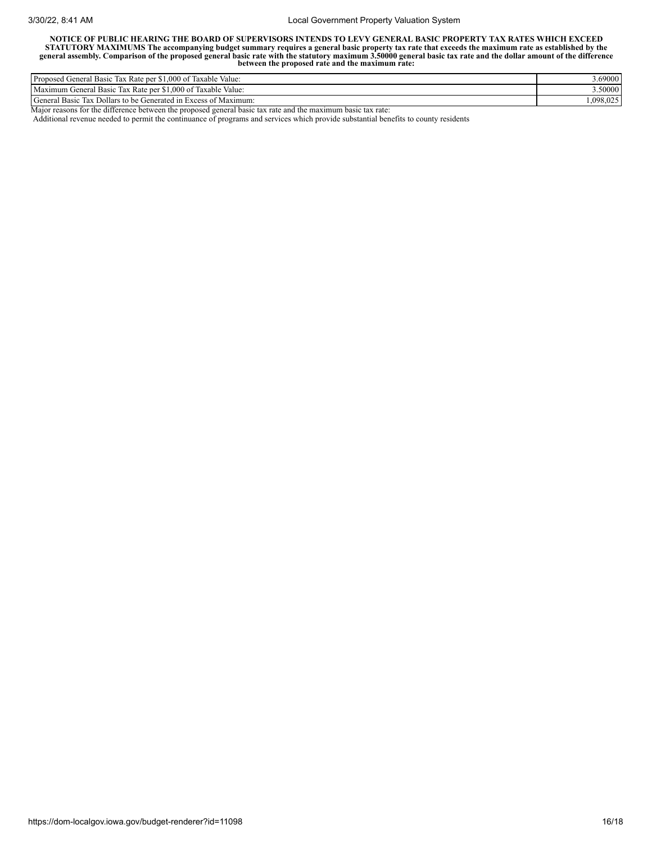NOTICE OF PUBLIC HEARING THE BOARD OF SUPERVISORS INTENDS TO LEVY GENERAL BASIC PROPERTY TAX RATES WHICH EXCEED STATUTORY MAXIMUMS The accompanying budget summary requires a general basic property tax rate that exceeds the maximum rate as established by the<br>general assembly. Comparison of the proposed general basic rate with the sta **between the proposed rate and the maximum rate:**

| $  -$<br>$\sim$<br>.000<br>Proposed General<br>Taxable<br>Value:<br>Rate per<br>Basic<br><b>Tax</b><br>- OT                      | 3.69000  |
|----------------------------------------------------------------------------------------------------------------------------------|----------|
| Maximum<br>$-1$<br>$\sim$<br>$\sim$<br>$\mathbf{r}$<br>$1.000$ of<br>$\sim$<br>Taxable Value:<br>. Kate per<br>treneral<br>Basic | 3.50000  |
| General Basic<br>Dollars to be Generated in Excess of Maximum:<br>lax                                                            | .098.025 |

Major reasons for the difference between the proposed general basic tax rate and the maximum basic tax rate:

Additional revenue needed to permit the continuance of programs and services which provide substantial benefits to county residents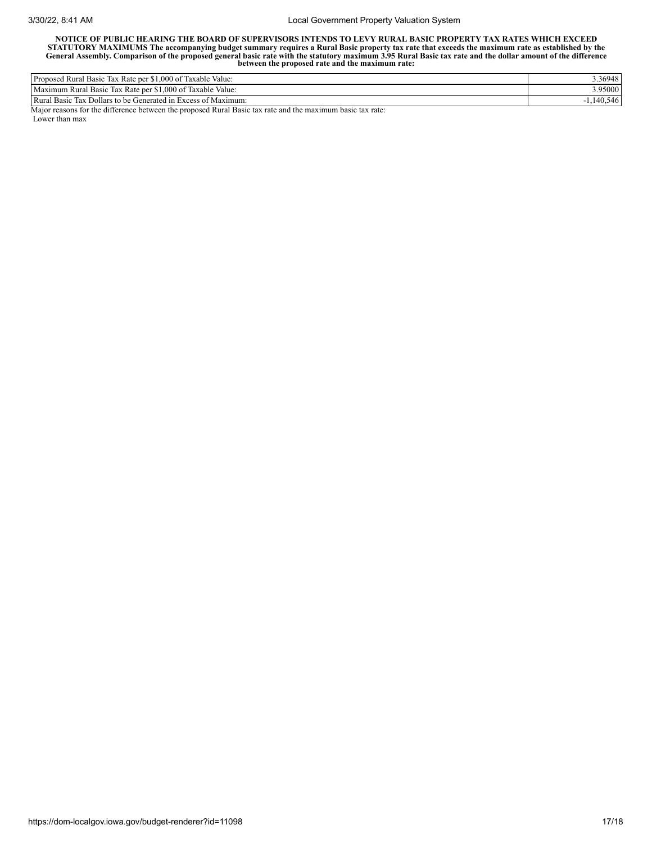NOTICE OF PUBLIC HEARING THE BOARD OF SUPERVISORS INTENDS TO LEVY RURAL BASIC PROPERTY TAX RATES WHICH EXCEED STATUTORY MAXIMUMS The accompanying budget summary requires a Rural Basic property tax rate that exceeds the maximum rate as established by the General Assembly. Comparison of the proposed general basic rate with the statu

| $\sim$<br>$\sim$<br>$\lambda$ Rate per \$1,000 of $\theta$<br>$\mathbf{r}$<br>Proposed<br>Value:<br>. Rural<br>Taxable<br>1ax<br>Basic         | 3.36948      |
|------------------------------------------------------------------------------------------------------------------------------------------------|--------------|
| $\sim$<br>$\sim$ $\sim$ $\sim$<br>$\sqrt{ }$<br>$\sim$<br>000<br>Basic<br>Value:<br>Taxable<br>1ax<br>1.000 of<br>Kural<br>Rate per<br>Maximum | 3.95000      |
| Rurai<br>of Maximum:<br>Dollars to be Q<br>Basic<br>Generated in<br>Excess.<br><b>Tax</b>                                                      | .546<br>tv.J |

Major reasons for the difference between the proposed Rural Basic tax rate and the maximum basic tax rate:

Lower than max